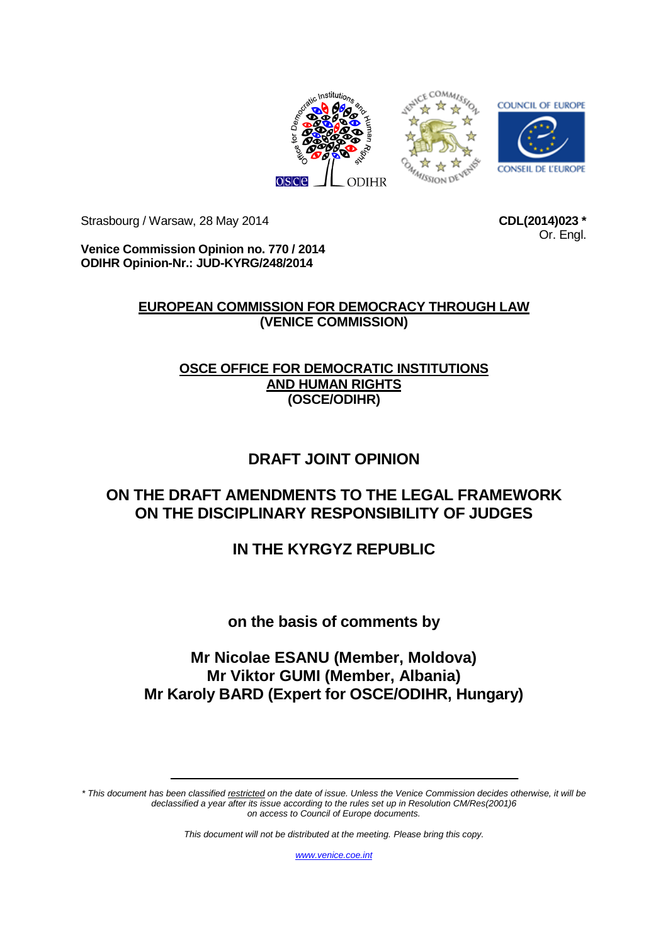

Strasbourg / Warsaw, 28 May 2014

**CDL(2014)023 \*** Or. Engl.

**Venice Commission Opinion no. 770 / 2014 ODIHR Opinion-Nr.: JUD-KYRG/248/2014**

## **EUROPEAN COMMISSION FOR DEMOCRACY THROUGH LAW (VENICE COMMISSION)**

## **OSCE OFFICE FOR DEMOCRATIC INSTITUTIONS AND HUMAN RIGHTS (OSCE/ODIHR)**

# **DRAFT JOINT OPINION**

## **ON THE DRAFT AMENDMENTS TO THE LEGAL FRAMEWORK ON THE DISCIPLINARY RESPONSIBILITY OF JUDGES**

# **IN THE KYRGYZ REPUBLIC**

## **on the basis of comments by**

## **Mr Nicolae ESANU (Member, Moldova) Mr Viktor GUMI (Member, Albania) Mr Karoly BARD (Expert for OSCE/ODIHR, Hungary)**

*\* This document has been classified restricted on the date of issue. Unless the Venice Commission decides otherwise, it will be declassified a year after its issue according to the rules set up in Resolution CM/Res(2001)6 on access to Council of Europe documents.*

*This document will not be distributed at the meeting. Please bring this copy.*

*[www.venice.coe.int](http://www.venice.coe.int/)*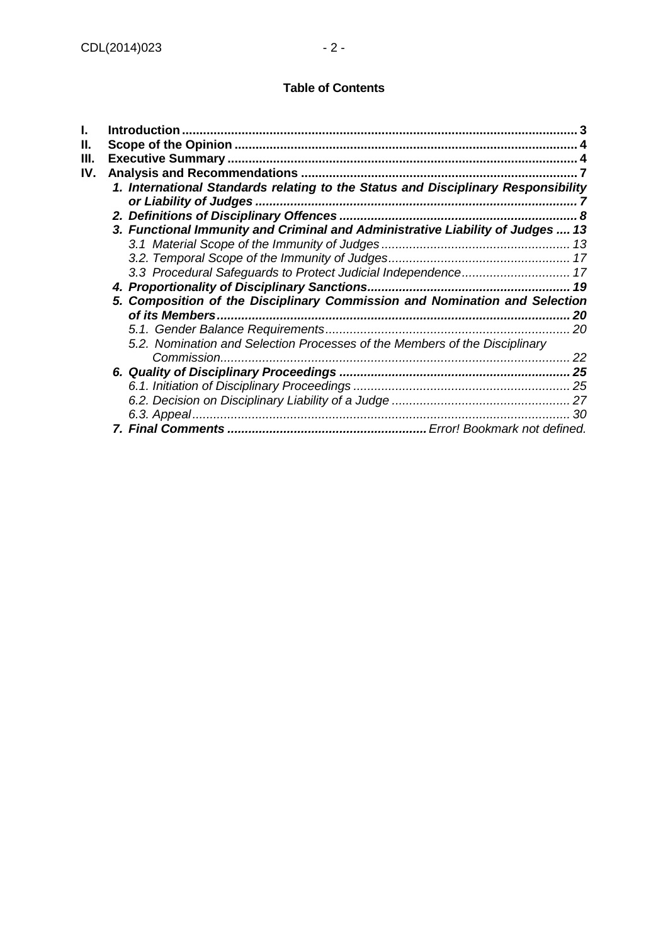#### **Table of Contents**

| ı.  | Introduction.                                                                     |    |
|-----|-----------------------------------------------------------------------------------|----|
| П.  |                                                                                   |    |
| Ш.  |                                                                                   |    |
| IV. |                                                                                   |    |
|     | 1. International Standards relating to the Status and Disciplinary Responsibility |    |
|     | or Liability of Judges.                                                           |    |
|     |                                                                                   | 8  |
|     | 3. Functional Immunity and Criminal and Administrative Liability of Judges  13    |    |
|     |                                                                                   |    |
|     |                                                                                   |    |
|     |                                                                                   |    |
|     |                                                                                   | 19 |
|     | 5. Composition of the Disciplinary Commission and Nomination and Selection        |    |
|     |                                                                                   | 20 |
|     |                                                                                   | 20 |
|     | 5.2. Nomination and Selection Processes of the Members of the Disciplinary        |    |
|     | Commission.                                                                       | 22 |
|     |                                                                                   | 25 |
|     |                                                                                   |    |
|     |                                                                                   |    |
|     |                                                                                   | 30 |
|     |                                                                                   |    |
|     |                                                                                   |    |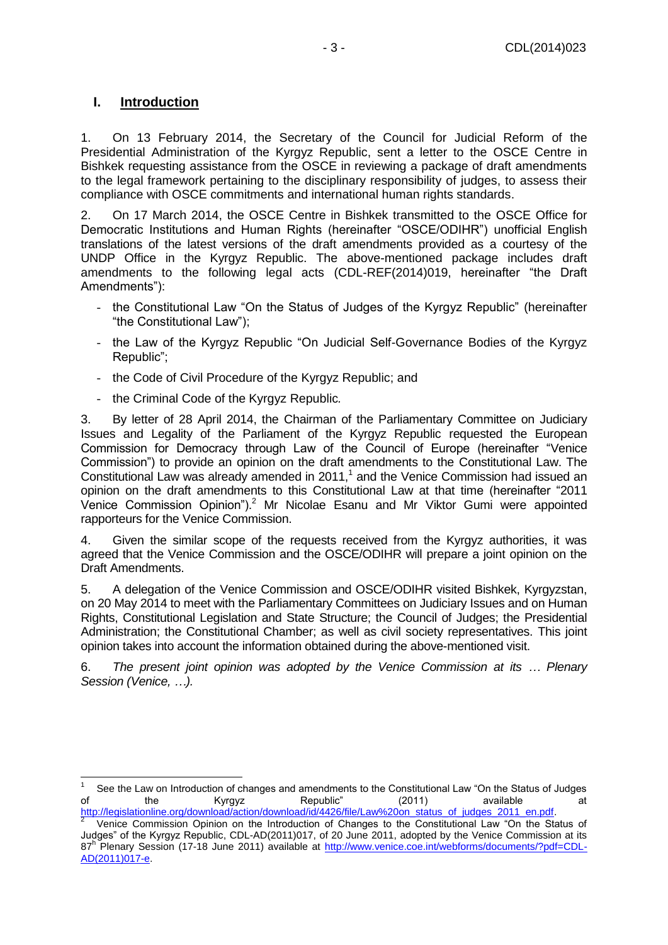## <span id="page-2-0"></span>**I. Introduction**

 $\overline{1}$ 

1. On 13 February 2014, the Secretary of the Council for Judicial Reform of the Presidential Administration of the Kyrgyz Republic, sent a letter to the OSCE Centre in Bishkek requesting assistance from the OSCE in reviewing a package of draft amendments to the legal framework pertaining to the disciplinary responsibility of judges, to assess their compliance with OSCE commitments and international human rights standards.

2. On 17 March 2014, the OSCE Centre in Bishkek transmitted to the OSCE Office for Democratic Institutions and Human Rights (hereinafter "OSCE/ODIHR") unofficial English translations of the latest versions of the draft amendments provided as a courtesy of the UNDP Office in the Kyrgyz Republic. The above-mentioned package includes draft amendments to the following legal acts (CDL-REF(2014)019, hereinafter "the Draft Amendments"):

- the Constitutional Law "On the Status of Judges of the Kyrgyz Republic" (hereinafter "the Constitutional Law");
- the Law of the Kyrgyz Republic "On Judicial Self-Governance Bodies of the Kyrgyz Republic";
- the Code of Civil Procedure of the Kyrgyz Republic; and
- the Criminal Code of the Kyrgyz Republic*.*

3. By letter of 28 April 2014, the Chairman of the Parliamentary Committee on Judiciary Issues and Legality of the Parliament of the Kyrgyz Republic requested the European Commission for Democracy through Law of the Council of Europe (hereinafter "Venice Commission") to provide an opinion on the draft amendments to the Constitutional Law. The Constitutional Law was already amended in 2011, $<sup>1</sup>$  and the Venice Commission had issued an</sup> opinion on the draft amendments to this Constitutional Law at that time (hereinafter "2011 Venice Commission Opinion"). <sup>2</sup> Mr Nicolae Esanu and Mr Viktor Gumi were appointed rapporteurs for the Venice Commission.

4. Given the similar scope of the requests received from the Kyrgyz authorities, it was agreed that the Venice Commission and the OSCE/ODIHR will prepare a joint opinion on the Draft Amendments.

5. A delegation of the Venice Commission and OSCE/ODIHR visited Bishkek, Kyrgyzstan, on 20 May 2014 to meet with the Parliamentary Committees on Judiciary Issues and on Human Rights, Constitutional Legislation and State Structure; the Council of Judges; the Presidential Administration; the Constitutional Chamber; as well as civil society representatives. This joint opinion takes into account the information obtained during the above-mentioned visit.

6. *The present joint opinion was adopted by the Venice Commission at its … Plenary Session (Venice, …).*

<sup>1</sup> See the Law on Introduction of changes and amendments to the Constitutional Law "On the Status of Judges of the Kyrgyz Republic" (2011) available at

[http://legislationline.org/download/action/download/id/4426/file/Law%20on\\_status\\_of\\_judges\\_2011\\_en.pdf.](http://legislationline.org/download/action/download/id/4426/file/Law%20on_status_of_judges_2011_en.pdf)<br>2 Nonice Commission Opinion on the Introduction of Changes to the Constitutional Law "On the Sta Venice Commission Opinion on the Introduction of Changes to the Constitutional Law "On the Status of Judges" of the Kyrgyz Republic, CDL-AD(2011)017, of 20 June 2011, adopted by the Venice Commission at its 87<sup>h</sup> Plenary Session (17-18 June 2011) available at [http://www.venice.coe.int/webforms/documents/?pdf=CDL-](http://www.venice.coe.int/webforms/documents/?pdf=CDL-AD(2011)017-e)[AD\(2011\)017-e.](http://www.venice.coe.int/webforms/documents/?pdf=CDL-AD(2011)017-e)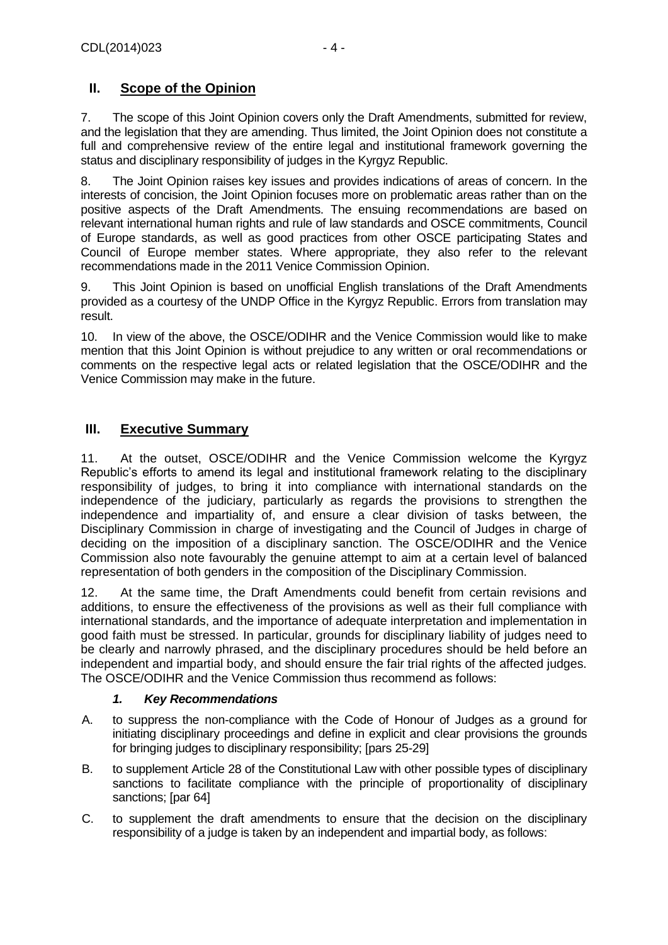## <span id="page-3-0"></span>**II. Scope of the Opinion**

7. The scope of this Joint Opinion covers only the Draft Amendments, submitted for review, and the legislation that they are amending. Thus limited, the Joint Opinion does not constitute a full and comprehensive review of the entire legal and institutional framework governing the status and disciplinary responsibility of judges in the Kyrgyz Republic.

8. The Joint Opinion raises key issues and provides indications of areas of concern. In the interests of concision, the Joint Opinion focuses more on problematic areas rather than on the positive aspects of the Draft Amendments. The ensuing recommendations are based on relevant international human rights and rule of law standards and OSCE commitments, Council of Europe standards, as well as good practices from other OSCE participating States and Council of Europe member states. Where appropriate, they also refer to the relevant recommendations made in the 2011 Venice Commission Opinion.

9. This Joint Opinion is based on unofficial English translations of the Draft Amendments provided as a courtesy of the UNDP Office in the Kyrgyz Republic. Errors from translation may result.

10. In view of the above, the OSCE/ODIHR and the Venice Commission would like to make mention that this Joint Opinion is without prejudice to any written or oral recommendations or comments on the respective legal acts or related legislation that the OSCE/ODIHR and the Venice Commission may make in the future.

## <span id="page-3-1"></span>**III. Executive Summary**

11. At the outset, OSCE/ODIHR and the Venice Commission welcome the Kyrgyz Republic's efforts to amend its legal and institutional framework relating to the disciplinary responsibility of judges, to bring it into compliance with international standards on the independence of the judiciary, particularly as regards the provisions to strengthen the independence and impartiality of, and ensure a clear division of tasks between, the Disciplinary Commission in charge of investigating and the Council of Judges in charge of deciding on the imposition of a disciplinary sanction. The OSCE/ODIHR and the Venice Commission also note favourably the genuine attempt to aim at a certain level of balanced representation of both genders in the composition of the Disciplinary Commission.

12. At the same time, the Draft Amendments could benefit from certain revisions and additions, to ensure the effectiveness of the provisions as well as their full compliance with international standards, and the importance of adequate interpretation and implementation in good faith must be stressed. In particular, grounds for disciplinary liability of judges need to be clearly and narrowly phrased, and the disciplinary procedures should be held before an independent and impartial body, and should ensure the fair trial rights of the affected judges. The OSCE/ODIHR and the Venice Commission thus recommend as follows:

## *1. Key Recommendations*

- A. to suppress the non-compliance with the Code of Honour of Judges as a ground for initiating disciplinary proceedings and define in explicit and clear provisions the grounds for bringing judges to disciplinary responsibility; [pars 25-29]
- B. to supplement Article 28 of the Constitutional Law with other possible types of disciplinary sanctions to facilitate compliance with the principle of proportionality of disciplinary sanctions; [par 64]
- C. to supplement the draft amendments to ensure that the decision on the disciplinary responsibility of a judge is taken by an independent and impartial body, as follows: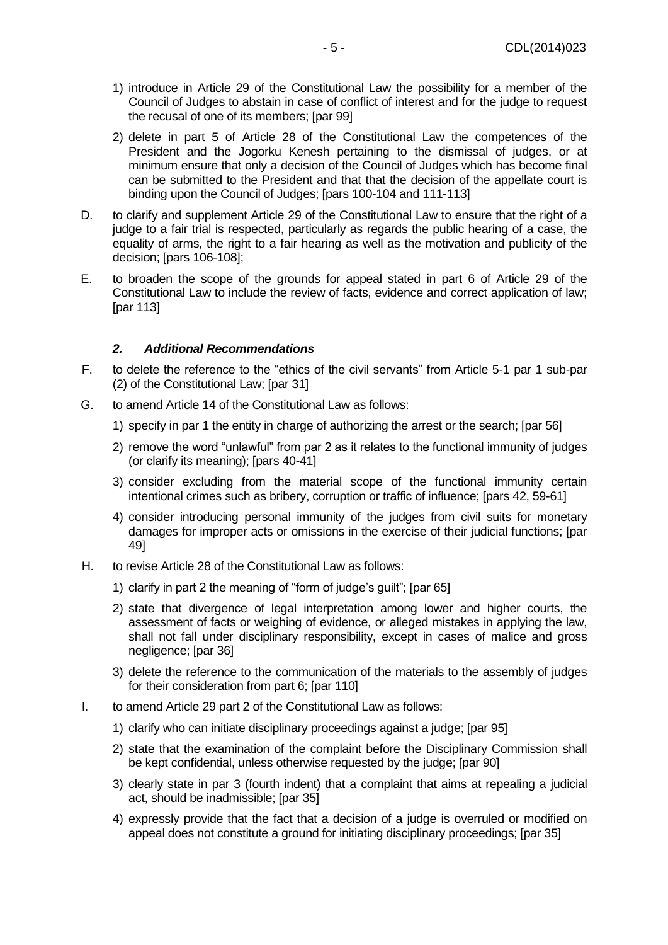- 1) introduce in Article 29 of the Constitutional Law the possibility for a member of the Council of Judges to abstain in case of conflict of interest and for the judge to request the recusal of one of its members; [par 99]
- 2) delete in part 5 of Article 28 of the Constitutional Law the competences of the President and the Jogorku Kenesh pertaining to the dismissal of judges, or at minimum ensure that only a decision of the Council of Judges which has become final can be submitted to the President and that that the decision of the appellate court is binding upon the Council of Judges; [pars 100-104 and 111-113]
- D. to clarify and supplement Article 29 of the Constitutional Law to ensure that the right of a judge to a fair trial is respected, particularly as regards the public hearing of a case, the equality of arms, the right to a fair hearing as well as the motivation and publicity of the decision; [pars 106-108];
- E. to broaden the scope of the grounds for appeal stated in part 6 of Article 29 of the Constitutional Law to include the review of facts, evidence and correct application of law; [par 113]

#### *2. Additional Recommendations*

- F. to delete the reference to the "ethics of the civil servants" from Article 5-1 par 1 sub-par (2) of the Constitutional Law; [par 31]
- G. to amend Article 14 of the Constitutional Law as follows:
	- 1) specify in par 1 the entity in charge of authorizing the arrest or the search; [par 56]
	- 2) remove the word "unlawful" from par 2 as it relates to the functional immunity of judges (or clarify its meaning); [pars 40-41]
	- 3) consider excluding from the material scope of the functional immunity certain intentional crimes such as bribery, corruption or traffic of influence; [pars 42, 59-61]
	- 4) consider introducing personal immunity of the judges from civil suits for monetary damages for improper acts or omissions in the exercise of their judicial functions; [par 49]
- H. to revise Article 28 of the Constitutional Law as follows:
	- 1) clarify in part 2 the meaning of "form of judge's guilt"; [par 65]
	- 2) state that divergence of legal interpretation among lower and higher courts, the assessment of facts or weighing of evidence, or alleged mistakes in applying the law, shall not fall under disciplinary responsibility, except in cases of malice and gross negligence; [par 36]
	- 3) delete the reference to the communication of the materials to the assembly of judges for their consideration from part 6: [par 110]
- I. to amend Article 29 part 2 of the Constitutional Law as follows:
	- 1) clarify who can initiate disciplinary proceedings against a judge; [par 95]
	- 2) state that the examination of the complaint before the Disciplinary Commission shall be kept confidential, unless otherwise requested by the judge; [par 90]
	- 3) clearly state in par 3 (fourth indent) that a complaint that aims at repealing a judicial act, should be inadmissible; [par 35]
	- 4) expressly provide that the fact that a decision of a judge is overruled or modified on appeal does not constitute a ground for initiating disciplinary proceedings; [par 35]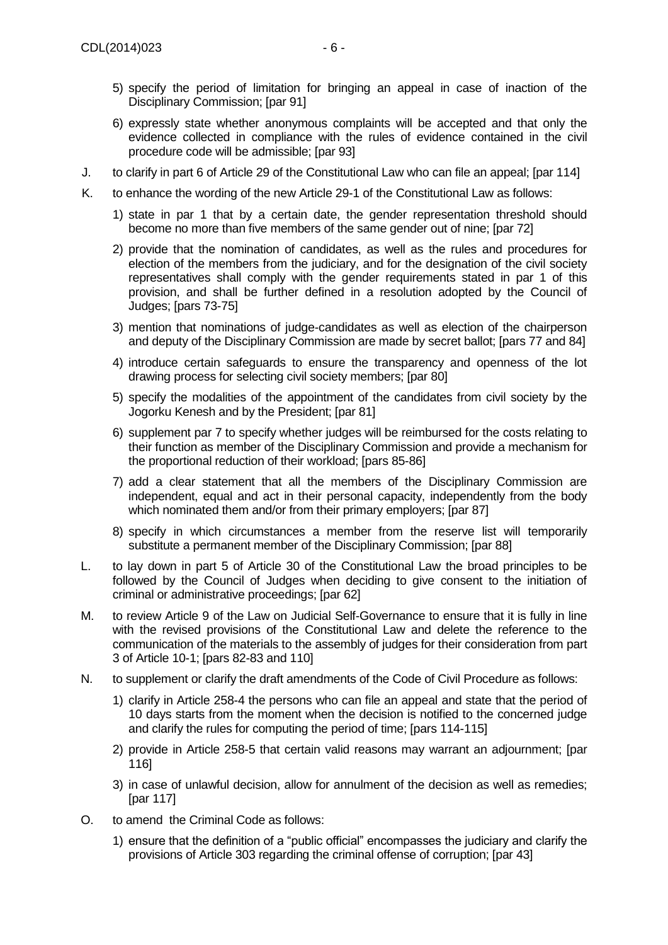- 5) specify the period of limitation for bringing an appeal in case of inaction of the Disciplinary Commission; [par 91]
- 6) expressly state whether anonymous complaints will be accepted and that only the evidence collected in compliance with the rules of evidence contained in the civil procedure code will be admissible; [par 93]
- J. to clarify in part 6 of Article 29 of the Constitutional Law who can file an appeal; [par 114]
- K. to enhance the wording of the new Article 29-1 of the Constitutional Law as follows:
	- 1) state in par 1 that by a certain date, the gender representation threshold should become no more than five members of the same gender out of nine; [par 72]
	- 2) provide that the nomination of candidates, as well as the rules and procedures for election of the members from the judiciary, and for the designation of the civil society representatives shall comply with the gender requirements stated in par 1 of this provision, and shall be further defined in a resolution adopted by the Council of Judges; [pars 73-75]
	- 3) mention that nominations of judge-candidates as well as election of the chairperson and deputy of the Disciplinary Commission are made by secret ballot; [pars 77 and 84]
	- 4) introduce certain safeguards to ensure the transparency and openness of the lot drawing process for selecting civil society members; [par 80]
	- 5) specify the modalities of the appointment of the candidates from civil society by the Jogorku Kenesh and by the President; [par 81]
	- 6) supplement par 7 to specify whether judges will be reimbursed for the costs relating to their function as member of the Disciplinary Commission and provide a mechanism for the proportional reduction of their workload; [pars 85-86]
	- 7) add a clear statement that all the members of the Disciplinary Commission are independent, equal and act in their personal capacity, independently from the body which nominated them and/or from their primary employers: [par 87]
	- 8) specify in which circumstances a member from the reserve list will temporarily substitute a permanent member of the Disciplinary Commission; [par 88]
- L. to lay down in part 5 of Article 30 of the Constitutional Law the broad principles to be followed by the Council of Judges when deciding to give consent to the initiation of criminal or administrative proceedings; [par 62]
- M. to review Article 9 of the Law on Judicial Self-Governance to ensure that it is fully in line with the revised provisions of the Constitutional Law and delete the reference to the communication of the materials to the assembly of judges for their consideration from part 3 of Article 10-1; [pars 82-83 and 110]
- N. to supplement or clarify the draft amendments of the Code of Civil Procedure as follows:
	- 1) clarify in Article 258-4 the persons who can file an appeal and state that the period of 10 days starts from the moment when the decision is notified to the concerned judge and clarify the rules for computing the period of time; [pars 114-115]
	- 2) provide in Article 258-5 that certain valid reasons may warrant an adjournment; [par 116]
	- 3) in case of unlawful decision, allow for annulment of the decision as well as remedies; [par 117]
- O. to amend the Criminal Code as follows:
	- 1) ensure that the definition of a "public official" encompasses the judiciary and clarify the provisions of Article 303 regarding the criminal offense of corruption; [par 43]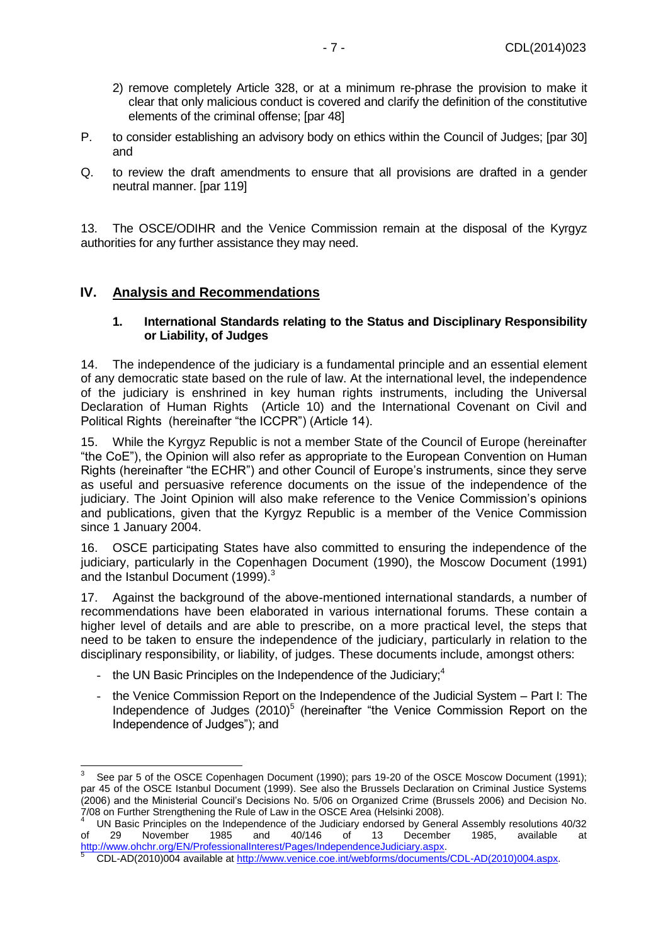- 2) remove completely Article 328, or at a minimum re-phrase the provision to make it clear that only malicious conduct is covered and clarify the definition of the constitutive elements of the criminal offense; [par 48]
- P. to consider establishing an advisory body on ethics within the Council of Judges; [par 30] and
- Q. to review the draft amendments to ensure that all provisions are drafted in a gender neutral manner. [par 119]

13. The OSCE/ODIHR and the Venice Commission remain at the disposal of the Kyrgyz authorities for any further assistance they may need.

#### <span id="page-6-1"></span><span id="page-6-0"></span>**IV. Analysis and Recommendations**

#### **1. International Standards relating to the Status and Disciplinary Responsibility or Liability, of Judges**

14. The independence of the judiciary is a fundamental principle and an essential element of any democratic state based on the rule of law. At the international level, the independence of the judiciary is enshrined in key human rights instruments, including the Universal Declaration of Human Rights (Article 10) and the International Covenant on Civil and Political Rights (hereinafter "the ICCPR") (Article 14).

15. While the Kyrgyz Republic is not a member State of the Council of Europe (hereinafter "the CoE"), the Opinion will also refer as appropriate to the European Convention on Human Rights (hereinafter "the ECHR") and other Council of Europe's instruments, since they serve as useful and persuasive reference documents on the issue of the independence of the judiciary. The Joint Opinion will also make reference to the Venice Commission's opinions and publications, given that the Kyrgyz Republic is a member of the Venice Commission since 1 January 2004.

16. OSCE participating States have also committed to ensuring the independence of the judiciary, particularly in the Copenhagen Document (1990), the Moscow Document (1991) and the Istanbul Document (1999). $3$ 

17. Against the background of the above-mentioned international standards, a number of recommendations have been elaborated in various international forums. These contain a higher level of details and are able to prescribe, on a more practical level, the steps that need to be taken to ensure the independence of the judiciary, particularly in relation to the disciplinary responsibility, or liability, of judges. These documents include, amongst others:

- the UN Basic Principles on the Independence of the Judiciary; $4$ 

-

- the Venice Commission Report on the Independence of the Judicial System – Part I: The Independence of Judges (2010)<sup>5</sup> (hereinafter "the Venice Commission Report on the Independence of Judges"); and

<sup>3</sup> See par 5 of the OSCE Copenhagen Document (1990); pars 19-20 of the OSCE Moscow Document (1991); par 45 of the OSCE Istanbul Document (1999). See also the Brussels Declaration on Criminal Justice Systems (2006) and the Ministerial Council's Decisions No. 5/06 on Organized Crime (Brussels 2006) and Decision No. 7/08 on Further Strengthening the Rule of Law in the OSCE Area (Helsinki 2008).

UN Basic Principles on the Independence of the Judiciary endorsed by General Assembly resolutions 40/32 of 29 November 1985 and 40/146 of 13 December 1985, available at [http://www.ohchr.org/EN/ProfessionalInterest/Pages/IndependenceJudiciary.aspx.](http://www.ohchr.org/EN/ProfessionalInterest/Pages/IndependenceJudiciary.aspx)

<sup>5</sup> CDL-AD(2010)004 available at [http://www.venice.coe.int/webforms/documents/CDL-AD\(2010\)004.aspx.](http://www.venice.coe.int/webforms/documents/CDL-AD(2010)004.aspx)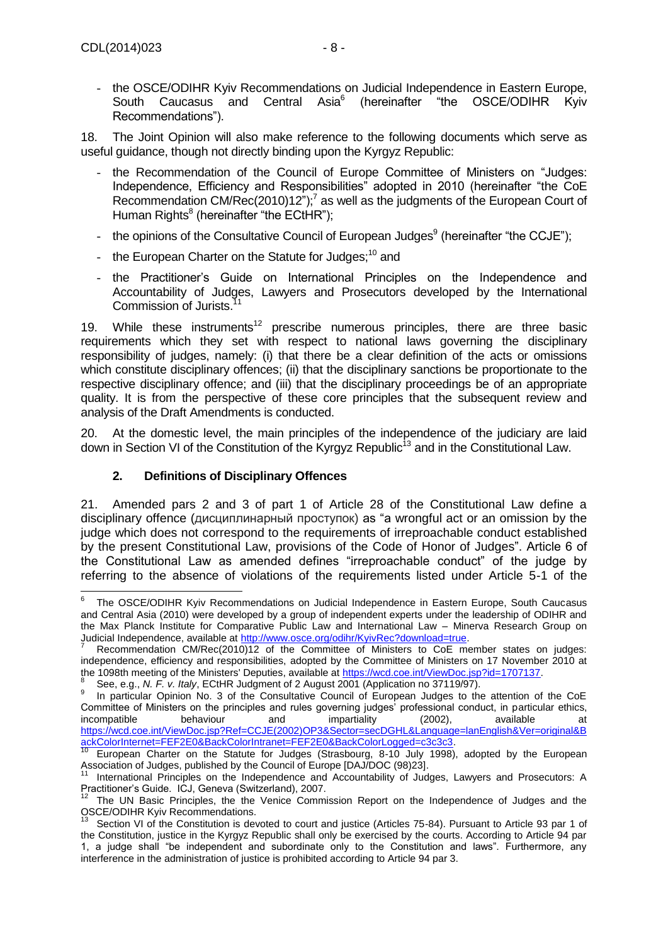- the OSCE/ODIHR Kyiv Recommendations on Judicial Independence in Eastern Europe, South Caucasus and Central Asia<sup>6</sup> (hereinafter "the OSCE/ODIHR Kyiv Recommendations").

18. The Joint Opinion will also make reference to the following documents which serve as useful guidance, though not directly binding upon the Kyrgyz Republic:

- the Recommendation of the Council of Europe Committee of Ministers on "Judges: Independence, Efficiency and Responsibilities" adopted in 2010 (hereinafter "the CoE Recommendation CM/Rec(2010)12");<sup>7</sup> as well as the judgments of the European Court of Human Rights<sup>8</sup> (hereinafter "the ECtHR");
- the opinions of the Consultative Council of European Judges<sup>9</sup> (hereinafter "the CCJE");
- the European Charter on the Statute for Judges; $10$  and
- the Practitioner's Guide on International Principles on the Independence and Accountability of Judges, Lawyers and Prosecutors developed by the International Commission of Jurists.<sup>11</sup>

19. While these instruments<sup>12</sup> prescribe numerous principles, there are three basic requirements which they set with respect to national laws governing the disciplinary responsibility of judges, namely: (i) that there be a clear definition of the acts or omissions which constitute disciplinary offences; (ii) that the disciplinary sanctions be proportionate to the respective disciplinary offence; and (iii) that the disciplinary proceedings be of an appropriate quality. It is from the perspective of these core principles that the subsequent review and analysis of the Draft Amendments is conducted.

20. At the domestic level, the main principles of the independence of the judiciary are laid down in Section VI of the Constitution of the Kyrgyz Republic<sup>13</sup> and in the Constitutional Law.

#### **2. Definitions of Disciplinary Offences**

<span id="page-7-0"></span>21. Amended pars 2 and 3 of part 1 of Article 28 of the Constitutional Law define a disciplinary offence (дисциплинарный проступок) as "a wrongful act or an omission by the judge which does not correspond to the requirements of irreproachable conduct established by the present Constitutional Law, provisions of the Code of Honor of Judges". Article 6 of the Constitutional Law as amended defines "irreproachable conduct" of the judge by referring to the absence of violations of the requirements listed under Article 5-1 of the

 $\overline{a}$ 6 The OSCE/ODIHR Kyiv Recommendations on Judicial Independence in Eastern Europe, South Caucasus and Central Asia (2010) were developed by a group of independent experts under the leadership of ODIHR and the Max Planck Institute for Comparative Public Law and International Law – Minerva Research Group on Judicial Independence, available at [http://www.osce.org/odihr/KyivRec?download=true.](http://www.osce.org/odihr/KyivRec?download=true)

Recommendation CM/Rec(2010)12 of the Committee of Ministers to CoE member states on judges: independence, efficiency and responsibilities, adopted by the Committee of Ministers on 17 November 2010 at the 1098th meeting of the Ministers' Deputies, available at [https://wcd.coe.int/ViewDoc.jsp?id=1707137.](https://wcd.coe.int/ViewDoc.jsp?id=1707137)<br><sup>8</sup> See a.g., N. E. v. Italy ECtHB, Judgment of 2 August 2001 (Application po 27110/07).

See, e.g., *N. F. v. Italy*, ECtHR Judgment of 2 August 2001 (Application no 37119/97).

<sup>9</sup> In particular Opinion No. 3 of the Consultative Council of European Judges to the attention of the CoE Committee of Ministers on the principles and rules governing judges' professional conduct, in particular ethics,<br>incompatible behaviour and impartiality (2002), available at incompatible behaviour and impartiality (2002), available at [https://wcd.coe.int/ViewDoc.jsp?Ref=CCJE\(2002\)OP3&Sector=secDGHL&Language=lanEnglish&Ver=original&B](https://wcd.coe.int/ViewDoc.jsp?Ref=CCJE(2002)OP3&Sector=secDGHL&Language=lanEnglish&Ver=original&BackColorInternet=FEF2E0&BackColorIntranet=FEF2E0&BackColorLogged=c3c3c3) [ackColorInternet=FEF2E0&BackColorIntranet=FEF2E0&BackColorLogged=c3c3c3.](https://wcd.coe.int/ViewDoc.jsp?Ref=CCJE(2002)OP3&Sector=secDGHL&Language=lanEnglish&Ver=original&BackColorInternet=FEF2E0&BackColorIntranet=FEF2E0&BackColorLogged=c3c3c3)

 $10$  European Charter on the Statute for Judges (Strasbourg, 8-10 July 1998), adopted by the European Association of Judges, published by the Council of Europe [DAJ/DOC (98)23].

<sup>11</sup> International Principles on the Independence and Accountability of Judges, Lawyers and Prosecutors: A Practitioner's Guide. ICJ, Geneva (Switzerland), 2007.

<sup>12</sup> The UN Basic Principles, the the Venice Commission Report on the Independence of Judges and the OSCE/ODIHR Kyiv Recommendations.

Section VI of the Constitution is devoted to court and justice (Articles 75-84). Pursuant to Article 93 par 1 of the Constitution, justice in the Kyrgyz Republic shall only be exercised by the courts. According to Article 94 par 1, a judge shall "be independent and subordinate only to the Constitution and laws". Furthermore, any interference in the administration of justice is prohibited according to Article 94 par 3.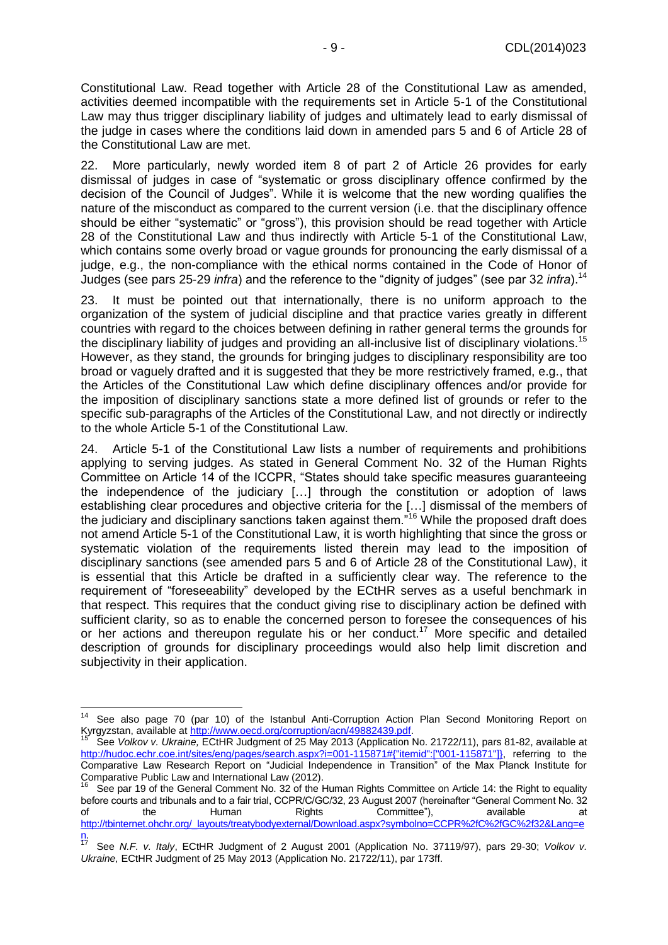Constitutional Law. Read together with Article 28 of the Constitutional Law as amended, activities deemed incompatible with the requirements set in Article 5-1 of the Constitutional Law may thus trigger disciplinary liability of judges and ultimately lead to early dismissal of the judge in cases where the conditions laid down in amended pars 5 and 6 of Article 28 of the Constitutional Law are met.

22. More particularly, newly worded item 8 of part 2 of Article 26 provides for early dismissal of judges in case of "systematic or gross disciplinary offence confirmed by the decision of the Council of Judges". While it is welcome that the new wording qualifies the nature of the misconduct as compared to the current version (i.e. that the disciplinary offence should be either "systematic" or "gross"), this provision should be read together with Article 28 of the Constitutional Law and thus indirectly with Article 5-1 of the Constitutional Law, which contains some overly broad or vague grounds for pronouncing the early dismissal of a judge, e.g., the non-compliance with the ethical norms contained in the Code of Honor of Judges (see pars 25-29 *infra*) and the reference to the "dignity of judges" (see par 32 *infra*). 14

23. It must be pointed out that internationally, there is no uniform approach to the organization of the system of judicial discipline and that practice varies greatly in different countries with regard to the choices between defining in rather general terms the grounds for the disciplinary liability of judges and providing an all-inclusive list of disciplinary violations.<sup>15</sup> However, as they stand, the grounds for bringing judges to disciplinary responsibility are too broad or vaguely drafted and it is suggested that they be more restrictively framed, e.g., that the Articles of the Constitutional Law which define disciplinary offences and/or provide for the imposition of disciplinary sanctions state a more defined list of grounds or refer to the specific sub-paragraphs of the Articles of the Constitutional Law, and not directly or indirectly to the whole Article 5-1 of the Constitutional Law.

24. Article 5-1 of the Constitutional Law lists a number of requirements and prohibitions applying to serving judges. As stated in General Comment No. 32 of the Human Rights Committee on Article 14 of the ICCPR, "States should take specific measures guaranteeing the independence of the judiciary […] through the constitution or adoption of laws establishing clear procedures and objective criteria for the […] dismissal of the members of the judiciary and disciplinary sanctions taken against them."<sup>16</sup> While the proposed draft does not amend Article 5-1 of the Constitutional Law, it is worth highlighting that since the gross or systematic violation of the requirements listed therein may lead to the imposition of disciplinary sanctions (see amended pars 5 and 6 of Article 28 of the Constitutional Law), it is essential that this Article be drafted in a sufficiently clear way. The reference to the requirement of "foreseeability" developed by the ECtHR serves as a useful benchmark in that respect. This requires that the conduct giving rise to disciplinary action be defined with sufficient clarity, so as to enable the concerned person to foresee the consequences of his or her actions and thereupon regulate his or her conduct.<sup>17</sup> More specific and detailed description of grounds for disciplinary proceedings would also help limit discretion and subjectivity in their application.

 $14$ See also page 70 (par 10) of the Istanbul Anti-Corruption Action Plan Second Monitoring Report on Kyrgyzstan, available a[t http://www.oecd.org/corruption/acn/49882439.pdf.](http://www.oecd.org/corruption/acn/49882439.pdf)

<sup>15</sup> See *Volkov v. Ukraine,* ECtHR Judgment of 25 May 2013 (Application No. 21722/11), pars 81-82, available at [http://hudoc.echr.coe.int/sites/eng/pages/search.aspx?i=001-115871#{"itemid":\["001-115871"\]},](http://hudoc.echr.coe.int/sites/eng/pages/search.aspx?i=001-115871#{"itemid":["001-115871"]}) referring to the Comparative Law Research Report on "Judicial Independence in Transition" of the Max Planck Institute for Comparative Public Law and International Law (2012).

See par 19 of the General Comment No. 32 of the Human Rights Committee on Article 14: the Right to equality before courts and tribunals and to a fair trial, CCPR/C/GC/32, 23 August 2007 (hereinafter "General Comment No. 32 of the Human Rights Committee"), available at [http://tbinternet.ohchr.org/\\_layouts/treatybodyexternal/Download.aspx?symbolno=CCPR%2fC%2fGC%2f32&Lang=e](http://tbinternet.ohchr.org/_layouts/treatybodyexternal/Download.aspx?symbolno=CCPR%2fC%2fGC%2f32&Lang=en)

 $\frac{n}{17}$ <sup>17</sup> See *N.F. v. Italy*, ECtHR Judgment of 2 August 2001 (Application No. 37119/97), pars 29-30; *Volkov v. Ukraine,* ECtHR Judgment of 25 May 2013 (Application No. 21722/11), par 173ff.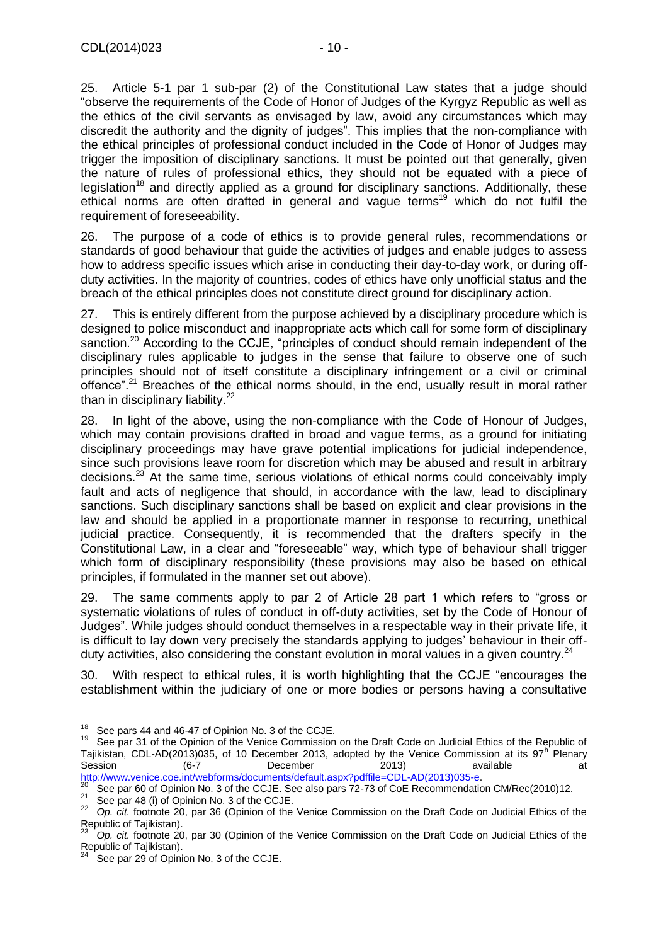25. Article 5-1 par 1 sub-par (2) of the Constitutional Law states that a judge should "observe the requirements of the Code of Honor of Judges of the Kyrgyz Republic as well as the ethics of the civil servants as envisaged by law, avoid any circumstances which may discredit the authority and the dignity of judges". This implies that the non-compliance with the ethical principles of professional conduct included in the Code of Honor of Judges may trigger the imposition of disciplinary sanctions. It must be pointed out that generally, given the nature of rules of professional ethics, they should not be equated with a piece of legislation<sup>18</sup> and directly applied as a ground for disciplinary sanctions. Additionally, these ethical norms are often drafted in general and vague terms<sup>19</sup> which do not fulfil the requirement of foreseeability.

26. The purpose of a code of ethics is to provide general rules, recommendations or standards of good behaviour that guide the activities of judges and enable judges to assess how to address specific issues which arise in conducting their day-to-day work, or during offduty activities. In the majority of countries, codes of ethics have only unofficial status and the breach of the ethical principles does not constitute direct ground for disciplinary action.

27. This is entirely different from the purpose achieved by a disciplinary procedure which is designed to police misconduct and inappropriate acts which call for some form of disciplinary sanction.<sup>20</sup> According to the CCJE, "principles of conduct should remain independent of the disciplinary rules applicable to judges in the sense that failure to observe one of such principles should not of itself constitute a disciplinary infringement or a civil or criminal offence".<sup>21</sup> Breaches of the ethical norms should, in the end, usually result in moral rather than in disciplinary liability. $22$ 

28. In light of the above, using the non-compliance with the Code of Honour of Judges, which may contain provisions drafted in broad and vague terms, as a ground for initiating disciplinary proceedings may have grave potential implications for judicial independence, since such provisions leave room for discretion which may be abused and result in arbitrary decisions.<sup>23</sup> At the same time, serious violations of ethical norms could conceivably imply fault and acts of negligence that should, in accordance with the law, lead to disciplinary sanctions. Such disciplinary sanctions shall be based on explicit and clear provisions in the law and should be applied in a proportionate manner in response to recurring, unethical judicial practice. Consequently, it is recommended that the drafters specify in the Constitutional Law, in a clear and "foreseeable" way, which type of behaviour shall trigger which form of disciplinary responsibility (these provisions may also be based on ethical principles, if formulated in the manner set out above).

29. The same comments apply to par 2 of Article 28 part 1 which refers to "gross or systematic violations of rules of conduct in off-duty activities, set by the Code of Honour of Judges". While judges should conduct themselves in a respectable way in their private life, it is difficult to lay down very precisely the standards applying to judges' behaviour in their offduty activities, also considering the constant evolution in moral values in a given country.<sup>24</sup>

30. With respect to ethical rules, it is worth highlighting that the CCJE "encourages the establishment within the judiciary of one or more bodies or persons having a consultative

<sup>-</sup>See pars 44 and 46-47 of Opinion No. 3 of the CCJE.

<sup>&</sup>lt;sup>19</sup> See par 31 of the Opinion of the Venice Commission on the Draft Code on Judicial Ethics of the Republic of Tajikistan, CDL-AD(2013)035, of 10 December 2013, adopted by the Venice Commission at its 97<sup>h</sup> Plenary Session (6-7 December 2013) available at [http://www.venice.coe.int/webforms/documents/default.aspx?pdffile=CDL-AD\(2013\)035-e.](http://www.venice.coe.int/webforms/documents/default.aspx?pdffile=CDL-AD(2013)035-e)

 $\frac{20}{20}$  See par 60 of Opinion No. 3 of the CCJE. See also pars 72-73 of CoE Recommendation CM/Rec(2010)12.

<sup>&</sup>lt;sup>21</sup> See par 48 (i) of Opinion No. 3 of the CCJE.<br><sup>22</sup> Op. 2<sup>if</sup> factoria 20 nor 26 (Opinion of the

<sup>22</sup> *Op. cit.* footnote 20, par 36 (Opinion of the Venice Commission on the Draft Code on Judicial Ethics of the Republic of Tajikistan).

<sup>23</sup> *Op. cit.* footnote 20, par 30 (Opinion of the Venice Commission on the Draft Code on Judicial Ethics of the Republic of Tajikistan).

See par 29 of Opinion No. 3 of the CCJE.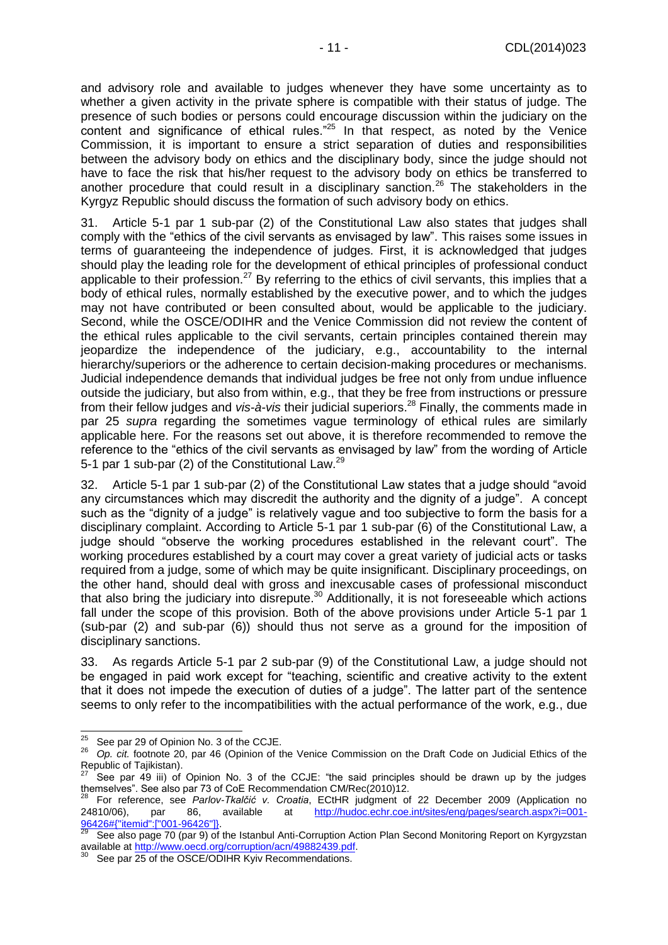and advisory role and available to judges whenever they have some uncertainty as to whether a given activity in the private sphere is compatible with their status of judge. The presence of such bodies or persons could encourage discussion within the judiciary on the content and significance of ethical rules."<sup>25</sup> In that respect, as noted by the Venice Commission, it is important to ensure a strict separation of duties and responsibilities between the advisory body on ethics and the disciplinary body, since the judge should not have to face the risk that his/her request to the advisory body on ethics be transferred to another procedure that could result in a disciplinary sanction.<sup>26</sup> The stakeholders in the Kyrgyz Republic should discuss the formation of such advisory body on ethics.

31. Article 5-1 par 1 sub-par (2) of the Constitutional Law also states that judges shall comply with the "ethics of the civil servants as envisaged by law". This raises some issues in terms of guaranteeing the independence of judges. First, it is acknowledged that judges should play the leading role for the development of ethical principles of professional conduct applicable to their profession.<sup>27</sup> By referring to the ethics of civil servants, this implies that a body of ethical rules, normally established by the executive power, and to which the judges may not have contributed or been consulted about, would be applicable to the judiciary. Second, while the OSCE/ODIHR and the Venice Commission did not review the content of the ethical rules applicable to the civil servants, certain principles contained therein may jeopardize the independence of the judiciary, e.g., accountability to the internal hierarchy/superiors or the adherence to certain decision-making procedures or mechanisms. Judicial independence demands that individual judges be free not only from undue influence outside the judiciary, but also from within, e.g., that they be free from instructions or pressure from their fellow judges and *vis-à-vis* their judicial superiors. <sup>28</sup> Finally, the comments made in par 25 *supra* regarding the sometimes vague terminology of ethical rules are similarly applicable here. For the reasons set out above, it is therefore recommended to remove the reference to the "ethics of the civil servants as envisaged by law" from the wording of Article 5-1 par 1 sub-par (2) of the Constitutional Law.<sup>29</sup>

32. Article 5-1 par 1 sub-par (2) of the Constitutional Law states that a judge should "avoid any circumstances which may discredit the authority and the dignity of a judge". A concept such as the "dignity of a judge" is relatively vague and too subjective to form the basis for a disciplinary complaint. According to Article 5-1 par 1 sub-par (6) of the Constitutional Law, a judge should "observe the working procedures established in the relevant court". The working procedures established by a court may cover a great variety of judicial acts or tasks required from a judge, some of which may be quite insignificant. Disciplinary proceedings, on the other hand, should deal with gross and inexcusable cases of professional misconduct that also bring the judiciary into disrepute.<sup>30</sup> Additionally, it is not foreseeable which actions fall under the scope of this provision. Both of the above provisions under Article 5-1 par 1 (sub-par (2) and sub-par (6)) should thus not serve as a ground for the imposition of disciplinary sanctions.

33. As regards Article 5-1 par 2 sub-par (9) of the Constitutional Law, a judge should not be engaged in paid work except for "teaching, scientific and creative activity to the extent that it does not impede the execution of duties of a judge". The latter part of the sentence seems to only refer to the incompatibilities with the actual performance of the work, e.g., due

<sup>25</sup> See par 29 of Opinion No. 3 of the CCJE.

<sup>26</sup> *Op. cit.* footnote 20, par 46 (Opinion of the Venice Commission on the Draft Code on Judicial Ethics of the Republic of Tajikistan).

See par 49 iii) of Opinion No. 3 of the CCJE: "the said principles should be drawn up by the judges themselves". See also par 73 of CoE Recommendation CM/Rec(2010)12.

<sup>28</sup> For reference, see *Parlov-Tkalčić v. Croatia*, ECtHR judgment of 22 December 2009 (Application no 24810/06), par 86, available at [http://hudoc.echr.coe.int/sites/eng/pages/search.aspx?i=001-](http://hudoc.echr.coe.int/sites/eng/pages/search.aspx?i=001-96426#{"itemid":["001-96426"]}) [96426#{"itemid":\["001-96426"\]}.](http://hudoc.echr.coe.int/sites/eng/pages/search.aspx?i=001-96426#{"itemid":["001-96426"]}) 

See also page 70 (par 9) of the Istanbul Anti-Corruption Action Plan Second Monitoring Report on Kyrgyzstan available at [http://www.oecd.org/corruption/acn/49882439.pdf.](http://www.oecd.org/corruption/acn/49882439.pdf)

See par 25 of the OSCE/ODIHR Kyiv Recommendations.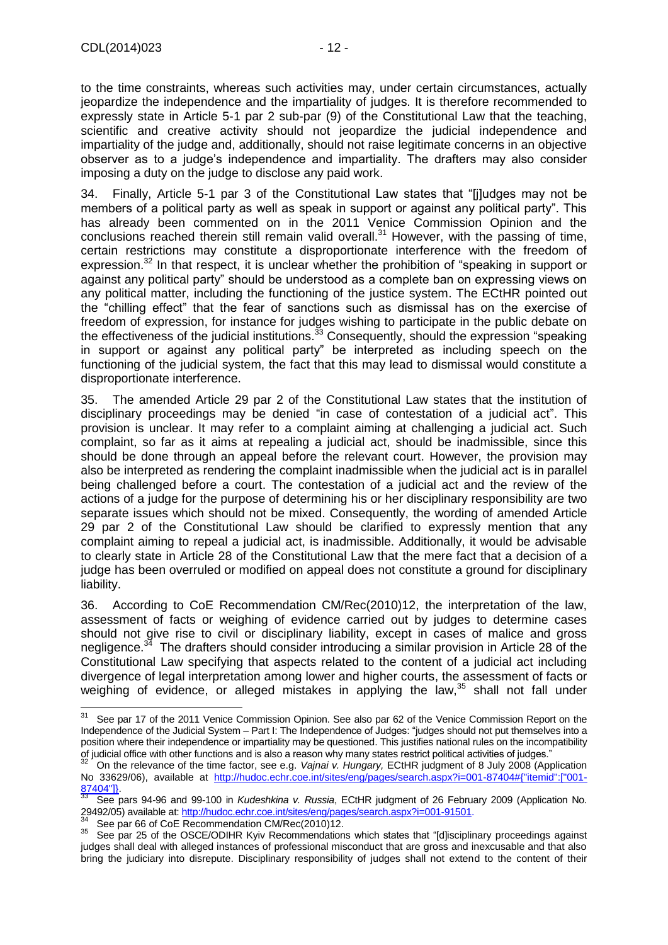to the time constraints, whereas such activities may, under certain circumstances, actually jeopardize the independence and the impartiality of judges. It is therefore recommended to expressly state in Article 5-1 par 2 sub-par (9) of the Constitutional Law that the teaching, scientific and creative activity should not jeopardize the judicial independence and impartiality of the judge and, additionally, should not raise legitimate concerns in an objective observer as to a judge's independence and impartiality. The drafters may also consider imposing a duty on the judge to disclose any paid work.

34. Finally, Article 5-1 par 3 of the Constitutional Law states that "[j]udges may not be members of a political party as well as speak in support or against any political party". This has already been commented on in the 2011 Venice Commission Opinion and the conclusions reached therein still remain valid overall.<sup>31</sup> However, with the passing of time, certain restrictions may constitute a disproportionate interference with the freedom of expression.<sup>32</sup> In that respect, it is unclear whether the prohibition of "speaking in support or against any political party" should be understood as a complete ban on expressing views on any political matter, including the functioning of the justice system. The ECtHR pointed out the "chilling effect" that the fear of sanctions such as dismissal has on the exercise of freedom of expression, for instance for judges wishing to participate in the public debate on the effectiveness of the judicial institutions. $33$  Consequently, should the expression "speaking" in support or against any political party" be interpreted as including speech on the functioning of the judicial system, the fact that this may lead to dismissal would constitute a disproportionate interference.

35. The amended Article 29 par 2 of the Constitutional Law states that the institution of disciplinary proceedings may be denied "in case of contestation of a judicial act". This provision is unclear. It may refer to a complaint aiming at challenging a judicial act. Such complaint, so far as it aims at repealing a judicial act, should be inadmissible, since this should be done through an appeal before the relevant court. However, the provision may also be interpreted as rendering the complaint inadmissible when the judicial act is in parallel being challenged before a court. The contestation of a judicial act and the review of the actions of a judge for the purpose of determining his or her disciplinary responsibility are two separate issues which should not be mixed. Consequently, the wording of amended Article 29 par 2 of the Constitutional Law should be clarified to expressly mention that any complaint aiming to repeal a judicial act, is inadmissible. Additionally, it would be advisable to clearly state in Article 28 of the Constitutional Law that the mere fact that a decision of a judge has been overruled or modified on appeal does not constitute a ground for disciplinary liability.

36. According to CoE Recommendation CM/Rec(2010)12, the interpretation of the law, assessment of facts or weighing of evidence carried out by judges to determine cases should not give rise to civil or disciplinary liability, except in cases of malice and gross negligence.<sup>34</sup> The drafters should consider introducing a similar provision in Article 28 of the Constitutional Law specifying that aspects related to the content of a judicial act including divergence of legal interpretation among lower and higher courts, the assessment of facts or weighing of evidence, or alleged mistakes in applying the law,<sup>35</sup> shall not fall under

 $31$ See par 17 of the 2011 Venice Commission Opinion. See also par 62 of the Venice Commission Report on the Independence of the Judicial System – Part I: The Independence of Judges: "judges should not put themselves into a position where their independence or impartiality may be questioned. This justifies national rules on the incompatibility of judicial office with other functions and is also a reason why many states restrict political activities of judges."

<sup>32</sup> On the relevance of the time factor, see e.g. *Vajnai v. Hungary,* ECtHR judgment of 8 July 2008 (Application No 33629/06), available at [http://hudoc.echr.coe.int/sites/eng/pages/search.aspx?i=001-87404#{"itemid":\["001-](http://hudoc.echr.coe.int/sites/eng/pages/search.aspx?i=001-87404#{"itemid":["001-87404"]})  $\frac{87404"}{33}$ 

<sup>33</sup> See pars 94-96 and 99-100 in *Kudeshkina v. Russia*, ECtHR judgment of 26 February 2009 (Application No. 29492/05) available at: [http://hudoc.echr.coe.int/sites/eng/pages/search.aspx?i=001-91501.](http://hudoc.echr.coe.int/sites/eng/pages/search.aspx?i=001-91501)

See par 66 of CoE Recommendation CM/Rec(2010)12.

<sup>35</sup> See par 25 of the OSCE/ODIHR Kyiv Recommendations which states that "[d]isciplinary proceedings against judges shall deal with alleged instances of professional misconduct that are gross and inexcusable and that also bring the judiciary into disrepute. Disciplinary responsibility of judges shall not extend to the content of their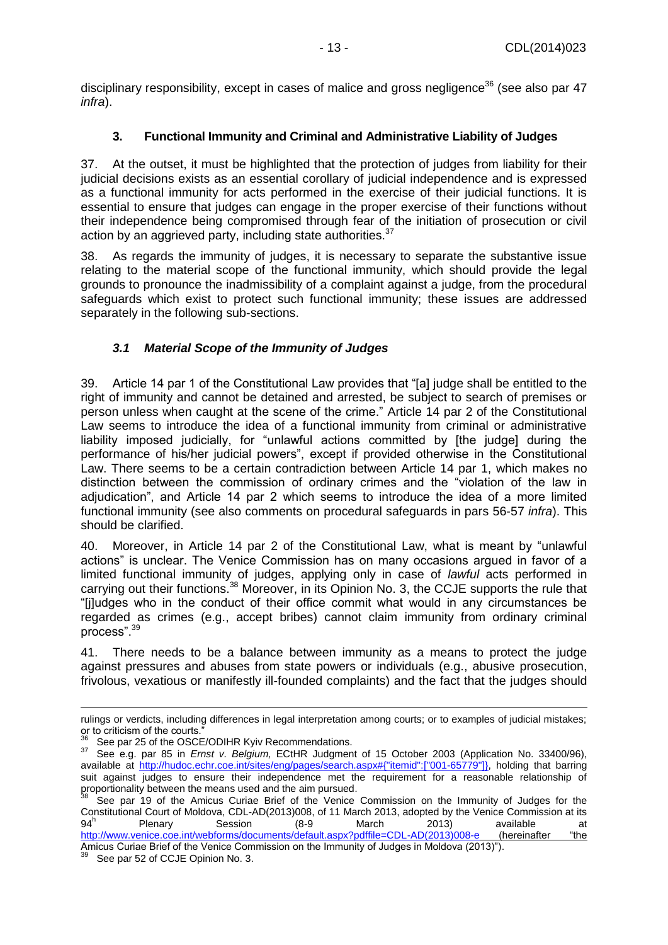<span id="page-12-0"></span>disciplinary responsibility, except in cases of malice and gross negligence<sup>36</sup> (see also par  $47$ ) *infra*).

#### **3. Functional Immunity and Criminal and Administrative Liability of Judges**

37. At the outset, it must be highlighted that the protection of judges from liability for their judicial decisions exists as an essential corollary of judicial independence and is expressed as a functional immunity for acts performed in the exercise of their judicial functions. It is essential to ensure that judges can engage in the proper exercise of their functions without their independence being compromised through fear of the initiation of prosecution or civil action by an aggrieved party, including state authorities. $37$ 

38. As regards the immunity of judges, it is necessary to separate the substantive issue relating to the material scope of the functional immunity, which should provide the legal grounds to pronounce the inadmissibility of a complaint against a judge, from the procedural safeguards which exist to protect such functional immunity; these issues are addressed separately in the following sub-sections.

## *3.1 Material Scope of the Immunity of Judges*

<span id="page-12-1"></span>39. Article 14 par 1 of the Constitutional Law provides that "[a] judge shall be entitled to the right of immunity and cannot be detained and arrested, be subject to search of premises or person unless when caught at the scene of the crime." Article 14 par 2 of the Constitutional Law seems to introduce the idea of a functional immunity from criminal or administrative liability imposed judicially, for "unlawful actions committed by [the judge] during the performance of his/her judicial powers", except if provided otherwise in the Constitutional Law. There seems to be a certain contradiction between Article 14 par 1, which makes no distinction between the commission of ordinary crimes and the "violation of the law in adjudication", and Article 14 par 2 which seems to introduce the idea of a more limited functional immunity (see also comments on procedural safeguards in pars 56-57 *infra*). This should be clarified.

40. Moreover, in Article 14 par 2 of the Constitutional Law, what is meant by "unlawful actions" is unclear. The Venice Commission has on many occasions argued in favor of a limited functional immunity of judges, applying only in case of *lawful* acts performed in carrying out their functions.<sup>38</sup> Moreover, in its Opinion No. 3, the CCJE supports the rule that "[j]udges who in the conduct of their office commit what would in any circumstances be regarded as crimes (e.g., accept bribes) cannot claim immunity from ordinary criminal process".<sup>39</sup>

41. There needs to be a balance between immunity as a means to protect the judge against pressures and abuses from state powers or individuals (e.g., abusive prosecution, frivolous, vexatious or manifestly ill-founded complaints) and the fact that the judges should

Amicus Curiae Brief of the Venice Commission on the Immunity of Judges in Moldova (2013)").

-

rulings or verdicts, including differences in legal interpretation among courts; or to examples of judicial mistakes; or to criticism of the courts."

See par 25 of the OSCE/ODIHR Kyiv Recommendations.

<sup>37</sup> See e.g. par 85 in *Ernst v. Belgium,* ECtHR Judgment of 15 October 2003 (Application No. 33400/96), available at [http://hudoc.echr.coe.int/sites/eng/pages/search.aspx#{"itemid":\["001-65779"\]},](http://hudoc.echr.coe.int/sites/eng/pages/search.aspx#{"itemid":["001-65779"]}) holding that barring suit against judges to ensure their independence met the requirement for a reasonable relationship of proportionality between the means used and the aim pursued.

See par 19 of the Amicus Curiae Brief of the Venice Commission on the Immunity of Judges for the Constitutional Court of Moldova, CDL-AD(2013)008, of 11 March 2013, adopted by the Venice Commission at its  $a_4$ h Plenary Session (8-9 March 2013) available at [http://www.venice.coe.int/webforms/documents/default.aspx?pdffile=CDL-AD\(2013\)008-e](http://www.venice.coe.int/webforms/documents/default.aspx?pdffile=CDL-AD(2013)008-e) (hereinafter "the

See par 52 of CCJE Opinion No. 3.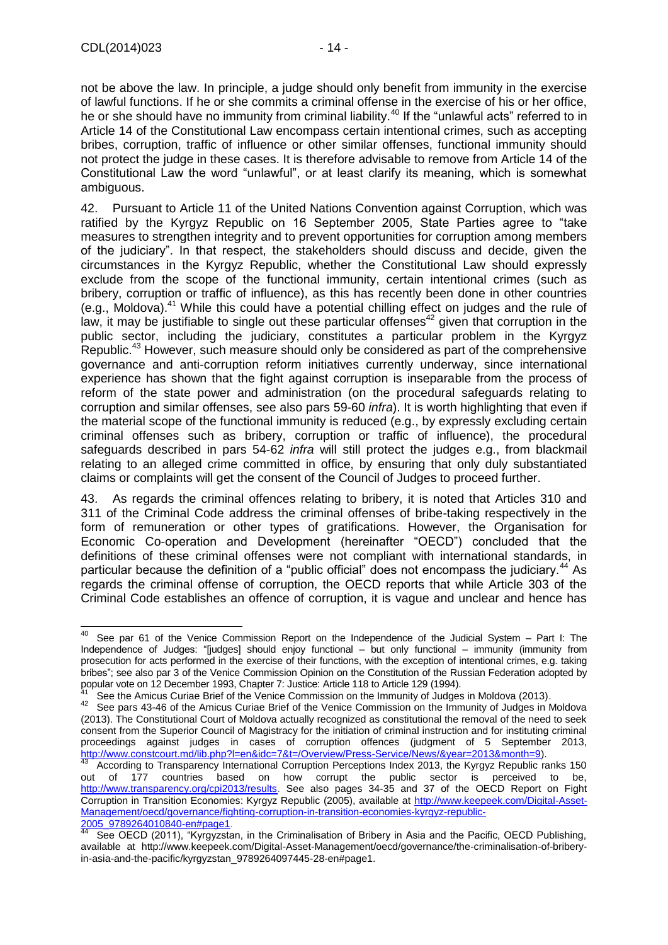not be above the law. In principle, a judge should only benefit from immunity in the exercise of lawful functions. If he or she commits a criminal offense in the exercise of his or her office, he or she should have no immunity from criminal liability.<sup>40</sup> If the "unlawful acts" referred to in Article 14 of the Constitutional Law encompass certain intentional crimes, such as accepting bribes, corruption, traffic of influence or other similar offenses, functional immunity should not protect the judge in these cases. It is therefore advisable to remove from Article 14 of the Constitutional Law the word "unlawful", or at least clarify its meaning, which is somewhat ambiguous.

42. Pursuant to Article 11 of the United Nations Convention against Corruption, which was ratified by the Kyrgyz Republic on 16 September 2005, State Parties agree to "take measures to strengthen integrity and to prevent opportunities for corruption among members of the judiciary". In that respect, the stakeholders should discuss and decide, given the circumstances in the Kyrgyz Republic, whether the Constitutional Law should expressly exclude from the scope of the functional immunity, certain intentional crimes (such as bribery, corruption or traffic of influence), as this has recently been done in other countries (e.g., Moldova).<sup>41</sup> While this could have a potential chilling effect on judges and the rule of law, it may be justifiable to single out these particular offenses<sup>42</sup> given that corruption in the public sector, including the judiciary, constitutes a particular problem in the Kyrgyz Republic.<sup>43</sup> However, such measure should only be considered as part of the comprehensive governance and anti-corruption reform initiatives currently underway, since international experience has shown that the fight against corruption is inseparable from the process of reform of the state power and administration (on the procedural safeguards relating to corruption and similar offenses, see also pars 59-60 *infra*). It is worth highlighting that even if the material scope of the functional immunity is reduced (e.g., by expressly excluding certain criminal offenses such as bribery, corruption or traffic of influence), the procedural safeguards described in pars 54-62 *infra* will still protect the judges e.g., from blackmail relating to an alleged crime committed in office, by ensuring that only duly substantiated claims or complaints will get the consent of the Council of Judges to proceed further.

43. As regards the criminal offences relating to bribery, it is noted that Articles 310 and 311 of the Criminal Code address the criminal offenses of bribe-taking respectively in the form of remuneration or other types of gratifications. However, the Organisation for Economic Co-operation and Development (hereinafter "OECD") concluded that the definitions of these criminal offenses were not compliant with international standards, in particular because the definition of a "public official" does not encompass the judiciary.<sup>44</sup> As regards the criminal offense of corruption, the OECD reports that while Article 303 of the Criminal Code establishes an offence of corruption, it is vague and unclear and hence has

<sup>40</sup> See par 61 of the Venice Commission Report on the Independence of the Judicial System – Part I: The Independence of Judges: "[judges] should enjoy functional – but only functional – immunity (immunity from prosecution for acts performed in the exercise of their functions, with the exception of intentional crimes, e.g. taking bribes"; see also par 3 of the Venice Commission Opinion on the Constitution of the Russian Federation adopted by popular vote on 12 December 1993, Chapter 7: Justice: Article 118 to Article 129 (1994).

<sup>&</sup>lt;sup>41</sup> See the Amicus Curiae Brief of the Venice Commission on the Immunity of Judges in Moldova (2013).<br><sup>42</sup> See para 42.46 of the Amicus Curiae Brief of the Venice Commission on the Immunity of Judges in N

See pars 43-46 of the Amicus Curiae Brief of the Venice Commission on the Immunity of Judges in Moldova (2013). The Constitutional Court of Moldova actually recognized as constitutional the removal of the need to seek consent from the Superior Council of Magistracy for the initiation of criminal instruction and for instituting criminal proceedings against judges in cases of corruption offences (judgment of 5 September 2013, [http://www.constcourt.md/lib.php?l=en&idc=7&t=/Overview/Press-Service/News/&year=2013&month=9\)](http://www.constcourt.md/lib.php?l=en&idc=7&t=/Overview/Press-Service/News/&year=2013&month=9).

According to Transparency International Corruption Perceptions Index 2013, the Kyrgyz Republic ranks 150 out of 177 countries based on how corrupt the public sector is perceived to be, http://www.transparency.org/cpi2013/results</u>. See also pages 34-35 and 37 of the OECD Report on Fight Corruption in Transition Economies: Kyrgyz Republic (2005), available at [http://www.keepeek.com/Digital-Asset-](http://www.keepeek.com/Digital-Asset-Management/oecd/governance/fighting-corruption-in-transition-economies-kyrgyz-republic-2005_9789264010840-en#page1)[Management/oecd/governance/fighting-corruption-in-transition-economies-kyrgyz-republic-](http://www.keepeek.com/Digital-Asset-Management/oecd/governance/fighting-corruption-in-transition-economies-kyrgyz-republic-2005_9789264010840-en#page1)[2005\\_9789264010840-en#page1.](http://www.keepeek.com/Digital-Asset-Management/oecd/governance/fighting-corruption-in-transition-economies-kyrgyz-republic-2005_9789264010840-en#page1)

See OECD (2011), "Kyrgyzstan, in the Criminalisation of Bribery in Asia and the Pacific, OECD Publishing, available at http://www.keepeek.com/Digital-Asset-Management/oecd/governance/the-criminalisation-of-briberyin-asia-and-the-pacific/kyrgyzstan\_9789264097445-28-en#page1.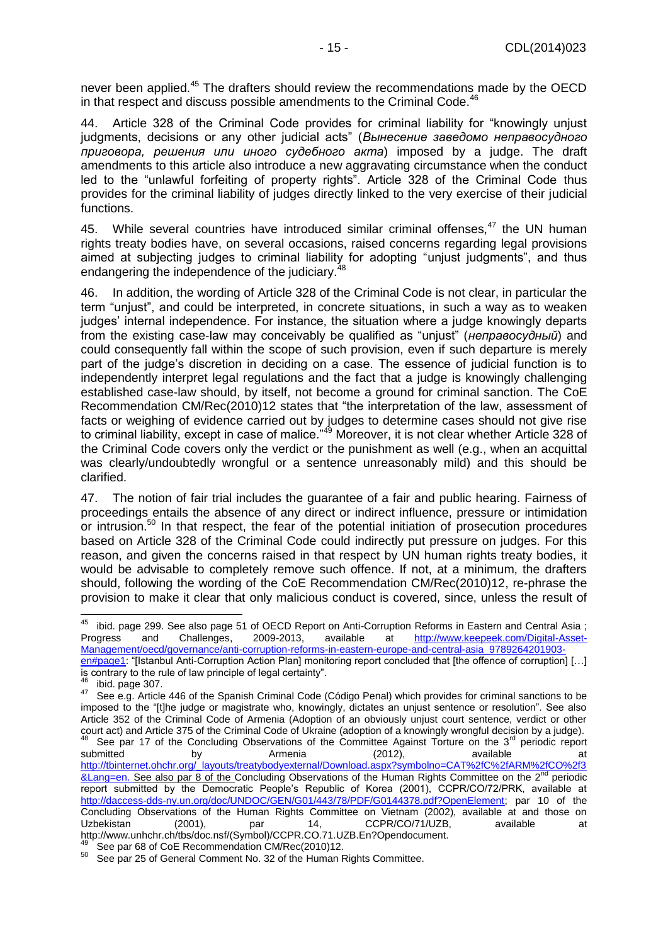never been applied.<sup>45</sup> The drafters should review the recommendations made by the OECD in that respect and discuss possible amendments to the Criminal Code. $46$ 

44. Article 328 of the Criminal Code provides for criminal liability for "knowingly unjust judgments, decisions or any other judicial acts" (*Вынесение заведомо неправосудного приговора, решения или иного судебного акта*) imposed by a judge. The draft amendments to this article also introduce a new aggravating circumstance when the conduct led to the "unlawful forfeiting of property rights". Article 328 of the Criminal Code thus provides for the criminal liability of judges directly linked to the very exercise of their judicial functions.

45. While several countries have introduced similar criminal offenses.<sup>47</sup> the UN human rights treaty bodies have, on several occasions, raised concerns regarding legal provisions aimed at subjecting judges to criminal liability for adopting "unjust judgments", and thus endangering the independence of the judiciary.

46. In addition, the wording of Article 328 of the Criminal Code is not clear, in particular the term "unjust", and could be interpreted, in concrete situations, in such a way as to weaken judges' internal independence. For instance, the situation where a judge knowingly departs from the existing case-law may conceivably be qualified as "unjust" (*неправосудный*) and could consequently fall within the scope of such provision, even if such departure is merely part of the judge's discretion in deciding on a case. The essence of judicial function is to independently interpret legal regulations and the fact that a judge is knowingly challenging established case-law should, by itself, not become a ground for criminal sanction. The CoE Recommendation CM/Rec(2010)12 states that "the interpretation of the law, assessment of facts or weighing of evidence carried out by judges to determine cases should not give rise to criminal liability, except in case of malice."<sup>49</sup> Moreover, it is not clear whether Article 328 of the Criminal Code covers only the verdict or the punishment as well (e.g., when an acquittal was clearly/undoubtedly wrongful or a sentence unreasonably mild) and this should be clarified.

47. The notion of fair trial includes the guarantee of a fair and public hearing. Fairness of proceedings entails the absence of any direct or indirect influence, pressure or intimidation or intrusion.<sup>50</sup> In that respect, the fear of the potential initiation of prosecution procedures based on Article 328 of the Criminal Code could indirectly put pressure on judges. For this reason, and given the concerns raised in that respect by UN human rights treaty bodies, it would be advisable to completely remove such offence. If not, at a minimum, the drafters should, following the wording of the CoE Recommendation CM/Rec(2010)12, re-phrase the provision to make it clear that only malicious conduct is covered, since, unless the result of

ibid. page 299. See also page 51 of OECD Report on Anti-Corruption Reforms in Eastern and Central Asia ;<br>paress and Challenges, 2009-2013, available at http://www.keepeek.com/Digital-Asset-Progress and Challenges, 2009-2013, available at [http://www.keepeek.com/Digital-Asset-](http://www.keepeek.com/Digital-Asset-Management/oecd/governance/anti-corruption-reforms-in-eastern-europe-and-central-asia_9789264201903-en#page1)[Management/oecd/governance/anti-corruption-reforms-in-eastern-europe-and-central-asia\\_9789264201903](http://www.keepeek.com/Digital-Asset-Management/oecd/governance/anti-corruption-reforms-in-eastern-europe-and-central-asia_9789264201903-en#page1) [en#page1:](http://www.keepeek.com/Digital-Asset-Management/oecd/governance/anti-corruption-reforms-in-eastern-europe-and-central-asia_9789264201903-en#page1) "[Istanbul Anti-Corruption Action Plan] monitoring report concluded that [the offence of corruption] […] is contrary to the rule of law principle of legal certainty".

-

 $^{46}_{47}$  ibid. page 307.

See e.g. Article 446 of the Spanish Criminal Code (Código Penal) which provides for criminal sanctions to be imposed to the "[t]he judge or magistrate who, knowingly, dictates an unjust sentence or resolution". See also Article 352 of the Criminal Code of Armenia (Adoption of an obviously unjust court sentence, verdict or other court act) and Article 375 of the Criminal Code of Ukraine (adoption of a knowingly wrongful decision by a judge).

See par 17 of the Concluding Observations of the Committee Against Torture on the 3<sup>rd</sup> periodic report submitted by Armenia (2012), available at [http://tbinternet.ohchr.org/\\_layouts/treatybodyexternal/Download.aspx?symbolno=CAT%2fC%2fARM%2fCO%2f3](http://tbinternet.ohchr.org/_layouts/treatybodyexternal/Download.aspx?symbolno=CAT%2fC%2fARM%2fCO%2f3&Lang=en) [&Lang=en.](http://tbinternet.ohchr.org/_layouts/treatybodyexternal/Download.aspx?symbolno=CAT%2fC%2fARM%2fCO%2f3&Lang=en) See also par 8 of the Concluding Observations of the Human Rights Committee on the 2<sup>nd</sup> periodic report submitted by the Democratic People's Republic of Korea (2001), CCPR/CO/72/PRK, available at [http://daccess-dds-ny.un.org/doc/UNDOC/GEN/G01/443/78/PDF/G0144378.pdf?OpenElement;](http://daccess-dds-ny.un.org/doc/UNDOC/GEN/G01/443/78/PDF/G0144378.pdf?OpenElement) par 10 of the Concluding Observations of the Human Rights Committee on Vietnam (2002), available at and those on Uzbekistan (2001), par 14, CCPR/CO/71/UZB, available at http://www.unhchr.ch/tbs/doc.nsf/(Symbol)/CCPR.CO.71.UZB.En?Opendocument.

<sup>&</sup>lt;sup>49</sup> See par 68 of CoE Recommendation CM/Rec(2010)12.

 $50$  See par 25 of General Comment No. 32 of the Human Rights Committee.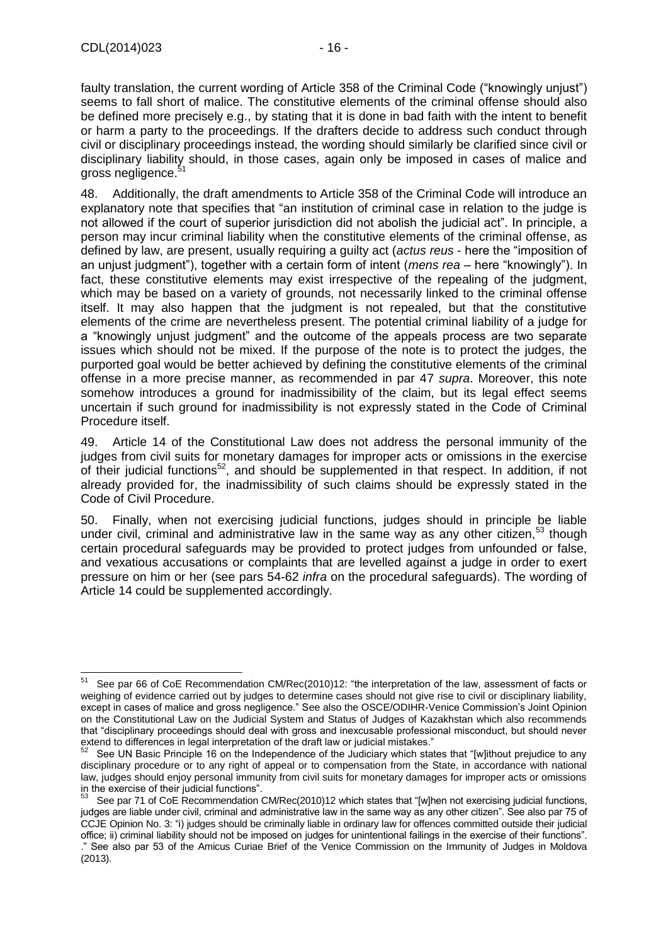faulty translation, the current wording of Article 358 of the Criminal Code ("knowingly unjust") seems to fall short of malice. The constitutive elements of the criminal offense should also be defined more precisely e.g., by stating that it is done in bad faith with the intent to benefit or harm a party to the proceedings. If the drafters decide to address such conduct through civil or disciplinary proceedings instead, the wording should similarly be clarified since civil or disciplinary liability should, in those cases, again only be imposed in cases of malice and gross negligence.<sup>5</sup>

48. Additionally, the draft amendments to Article 358 of the Criminal Code will introduce an explanatory note that specifies that "an institution of criminal case in relation to the judge is not allowed if the court of superior jurisdiction did not abolish the judicial act". In principle, a person may incur criminal liability when the constitutive elements of the criminal offense, as defined by law, are present, usually requiring a guilty act (*actus reus* - here the "imposition of an unjust judgment"), together with a certain form of intent (*mens rea* – here "knowingly"). In fact, these constitutive elements may exist irrespective of the repealing of the judgment, which may be based on a variety of grounds, not necessarily linked to the criminal offense itself. It may also happen that the judgment is not repealed, but that the constitutive elements of the crime are nevertheless present. The potential criminal liability of a judge for a "knowingly unjust judgment" and the outcome of the appeals process are two separate issues which should not be mixed. If the purpose of the note is to protect the judges, the purported goal would be better achieved by defining the constitutive elements of the criminal offense in a more precise manner, as recommended in par 47 *supra*. Moreover, this note somehow introduces a ground for inadmissibility of the claim, but its legal effect seems uncertain if such ground for inadmissibility is not expressly stated in the Code of Criminal Procedure itself.

49. Article 14 of the Constitutional Law does not address the personal immunity of the judges from civil suits for monetary damages for improper acts or omissions in the exercise of their judicial functions<sup>52</sup>, and should be supplemented in that respect. In addition, if not already provided for, the inadmissibility of such claims should be expressly stated in the Code of Civil Procedure.

50. Finally, when not exercising judicial functions, judges should in principle be liable under civil, criminal and administrative law in the same way as any other citizen,<sup>53</sup> though certain procedural safeguards may be provided to protect judges from unfounded or false, and vexatious accusations or complaints that are levelled against a judge in order to exert pressure on him or her (see pars 54-62 *infra* on the procedural safeguards). The wording of Article 14 could be supplemented accordingly.

 $51$ See par 66 of CoE Recommendation CM/Rec(2010)12: "the interpretation of the law, assessment of facts or weighing of evidence carried out by judges to determine cases should not give rise to civil or disciplinary liability, except in cases of malice and gross negligence." See also the OSCE/ODIHR-Venice Commission's Joint Opinion on the Constitutional Law on the Judicial System and Status of Judges of Kazakhstan which also recommends that "disciplinary proceedings should deal with gross and inexcusable professional misconduct, but should never extend to differences in legal interpretation of the draft law or judicial mistakes."

See UN Basic Principle 16 on the Independence of the Judiciary which states that "[w]ithout prejudice to any disciplinary procedure or to any right of appeal or to compensation from the State, in accordance with national law, judges should enjoy personal immunity from civil suits for monetary damages for improper acts or omissions in the exercise of their judicial functions".

See par 71 of CoE Recommendation CM/Rec(2010)12 which states that "[w]hen not exercising judicial functions, judges are liable under civil, criminal and administrative law in the same way as any other citizen". See also par 75 of CCJE Opinion No. 3: "i) judges should be criminally liable in ordinary law for offences committed outside their judicial office; ii) criminal liability should not be imposed on judges for unintentional failings in the exercise of their functions". ." See also par 53 of the Amicus Curiae Brief of the Venice Commission on the Immunity of Judges in Moldova (2013).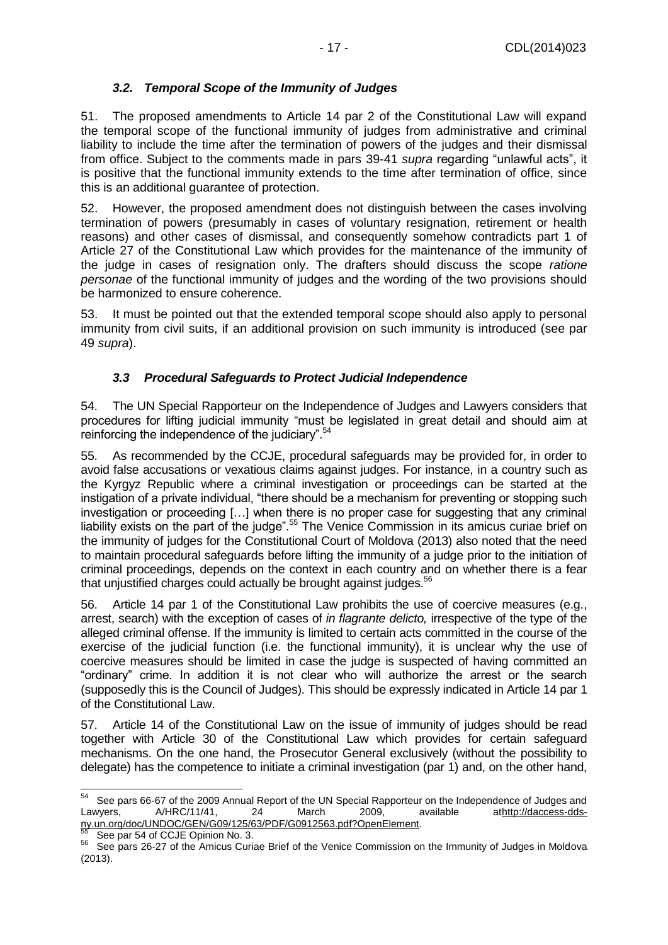#### *3.2. Temporal Scope of the Immunity of Judges*

<span id="page-16-0"></span>51. The proposed amendments to Article 14 par 2 of the Constitutional Law will expand the temporal scope of the functional immunity of judges from administrative and criminal liability to include the time after the termination of powers of the judges and their dismissal from office. Subject to the comments made in pars 39-41 *supra* regarding "unlawful acts", it is positive that the functional immunity extends to the time after termination of office, since this is an additional guarantee of protection.

52. However, the proposed amendment does not distinguish between the cases involving termination of powers (presumably in cases of voluntary resignation, retirement or health reasons) and other cases of dismissal, and consequently somehow contradicts part 1 of Article 27 of the Constitutional Law which provides for the maintenance of the immunity of the judge in cases of resignation only. The drafters should discuss the scope *ratione personae* of the functional immunity of judges and the wording of the two provisions should be harmonized to ensure coherence.

53. It must be pointed out that the extended temporal scope should also apply to personal immunity from civil suits, if an additional provision on such immunity is introduced (see par 49 *supra*).

#### *3.3 Procedural Safeguards to Protect Judicial Independence*

<span id="page-16-1"></span>54. The UN Special Rapporteur on the Independence of Judges and Lawyers considers that procedures for lifting judicial immunity "must be legislated in great detail and should aim at reinforcing the independence of the judiciary".<sup>54</sup>

55. As recommended by the CCJE, procedural safeguards may be provided for, in order to avoid false accusations or vexatious claims against judges. For instance, in a country such as the Kyrgyz Republic where a criminal investigation or proceedings can be started at the instigation of a private individual, "there should be a mechanism for preventing or stopping such investigation or proceeding […] when there is no proper case for suggesting that any criminal liability exists on the part of the judge".<sup>55</sup> The Venice Commission in its amicus curiae brief on the immunity of judges for the Constitutional Court of Moldova (2013) also noted that the need to maintain procedural safeguards before lifting the immunity of a judge prior to the initiation of criminal proceedings, depends on the context in each country and on whether there is a fear that unjustified charges could actually be brought against judges.<sup>56</sup>

56. Article 14 par 1 of the Constitutional Law prohibits the use of coercive measures (e.g., arrest, search) with the exception of cases of *in flagrante delicto,* irrespective of the type of the alleged criminal offense. If the immunity is limited to certain acts committed in the course of the exercise of the judicial function (i.e. the functional immunity), it is unclear why the use of coercive measures should be limited in case the judge is suspected of having committed an "ordinary" crime. In addition it is not clear who will authorize the arrest or the search (supposedly this is the Council of Judges). This should be expressly indicated in Article 14 par 1 of the Constitutional Law.

57. Article 14 of the Constitutional Law on the issue of immunity of judges should be read together with Article 30 of the Constitutional Law which provides for certain safeguard mechanisms. On the one hand, the Prosecutor General exclusively (without the possibility to delegate) has the competence to initiate a criminal investigation (par 1) and, on the other hand,

See par 54 of CCJE Opinion No. 3.

<sup>-</sup><sup>54</sup> See pars 66-67 of the 2009 Annual Report of the UN Special Rapporteur on the Independence of Judges and Lawyers, A/HRC/11/41, 24 March 2009, available a[thttp://daccess-dds](http://daccess-dds-ny.un.org/doc/UNDOC/GEN/G09/125/63/PDF/G0912563.pdf?OpenElement)[ny.un.org/doc/UNDOC/GEN/G09/125/63/PDF/G0912563.pdf?OpenElement.](http://daccess-dds-ny.un.org/doc/UNDOC/GEN/G09/125/63/PDF/G0912563.pdf?OpenElement)

<sup>56</sup> See pars 26-27 of the Amicus Curiae Brief of the Venice Commission on the Immunity of Judges in Moldova (2013).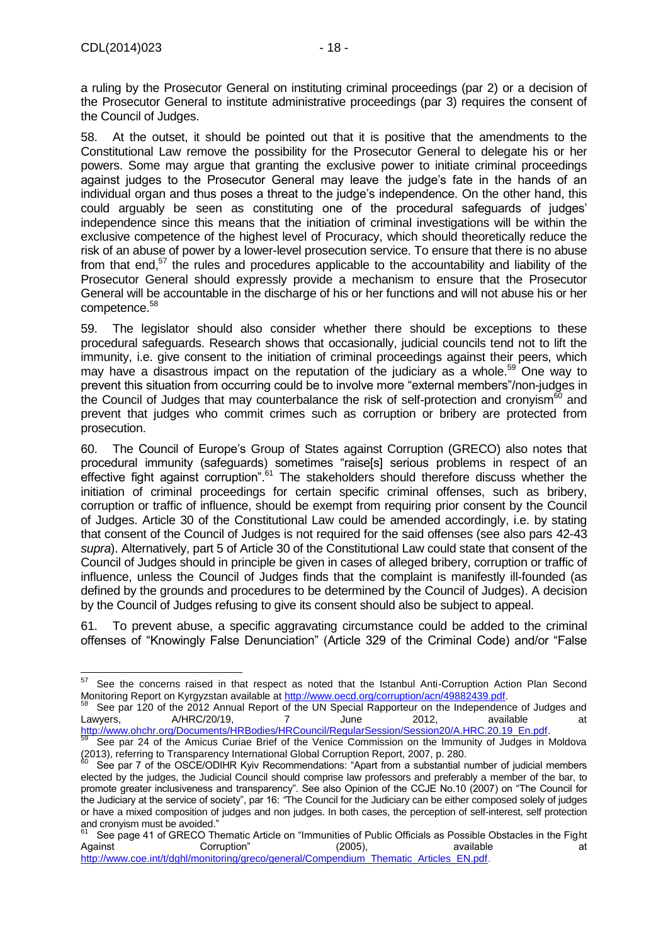a ruling by the Prosecutor General on instituting criminal proceedings (par 2) or a decision of the Prosecutor General to institute administrative proceedings (par 3) requires the consent of the Council of Judges.

58. At the outset, it should be pointed out that it is positive that the amendments to the Constitutional Law remove the possibility for the Prosecutor General to delegate his or her powers. Some may argue that granting the exclusive power to initiate criminal proceedings against judges to the Prosecutor General may leave the judge's fate in the hands of an individual organ and thus poses a threat to the judge's independence. On the other hand, this could arguably be seen as constituting one of the procedural safeguards of judges' independence since this means that the initiation of criminal investigations will be within the exclusive competence of the highest level of Procuracy, which should theoretically reduce the risk of an abuse of power by a lower-level prosecution service. To ensure that there is no abuse from that end, $57$  the rules and procedures applicable to the accountability and liability of the Prosecutor General should expressly provide a mechanism to ensure that the Prosecutor General will be accountable in the discharge of his or her functions and will not abuse his or her competence.<sup>58</sup>

59. The legislator should also consider whether there should be exceptions to these procedural safeguards. Research shows that occasionally, judicial councils tend not to lift the immunity, i.e. give consent to the initiation of criminal proceedings against their peers, which may have a disastrous impact on the reputation of the judiciary as a whole.<sup>59</sup> One way to prevent this situation from occurring could be to involve more "external members"/non-judges in the Council of Judges that may counterbalance the risk of self-protection and cronyism<sup>60</sup> and prevent that judges who commit crimes such as corruption or bribery are protected from prosecution.

60. The Council of Europe's Group of States against Corruption (GRECO) also notes that procedural immunity (safeguards) sometimes "raise[s] serious problems in respect of an effective fight against corruption".<sup>61</sup> The stakeholders should therefore discuss whether the initiation of criminal proceedings for certain specific criminal offenses, such as bribery, corruption or traffic of influence, should be exempt from requiring prior consent by the Council of Judges. Article 30 of the Constitutional Law could be amended accordingly, i.e. by stating that consent of the Council of Judges is not required for the said offenses (see also pars 42-43 *supra*). Alternatively, part 5 of Article 30 of the Constitutional Law could state that consent of the Council of Judges should in principle be given in cases of alleged bribery, corruption or traffic of influence, unless the Council of Judges finds that the complaint is manifestly ill-founded (as defined by the grounds and procedures to be determined by the Council of Judges). A decision by the Council of Judges refusing to give its consent should also be subject to appeal.

61. To prevent abuse, a specific aggravating circumstance could be added to the criminal offenses of "Knowingly False Denunciation" (Article 329 of the Criminal Code) and/or "False

See par 120 of the 2012 Annual Report of the UN Special Rapporteur on the Independence of Judges and<br>wyers. 4/HRC/20/19. 7 June 2012. available at Lawyers, A/HRC/20/19, 7 June 2012, available at [http://www.ohchr.org/Documents/HRBodies/HRCouncil/RegularSession/Session20/A.HRC.20.19\\_En.pdf.](http://www.ohchr.org/Documents/HRBodies/HRCouncil/RegularSession/Session20/A.HRC.20.19_En.pdf)

<sup>-</sup><sup>57</sup> See the concerns raised in that respect as noted that the Istanbul Anti-Corruption Action Plan Second Monitoring Report on Kyrgyzstan available a[t http://www.oecd.org/corruption/acn/49882439.pdf.](http://www.oecd.org/corruption/acn/49882439.pdf)

<sup>59</sup> See par 24 of the Amicus Curiae Brief of the Venice Commission on the Immunity of Judges in Moldova (2013), referring to Transparency International Global Corruption Report, 2007, p. 280.

See par 7 of the OSCE/ODIHR Kyiv Recommendations: "Apart from a substantial number of judicial members elected by the judges, the Judicial Council should comprise law professors and preferably a member of the bar, to promote greater inclusiveness and transparency". See also Opinion of the CCJE No.10 (2007) on "The Council for the Judiciary at the service of society", par 16: *"*The Council for the Judiciary can be either composed solely of judges or have a mixed composition of judges and non judges. In both cases, the perception of self-interest, self protection and cronyism must be avoided."<br><sup>61</sup> See nane 41 of CRECO TH

See page 41 of GRECO Thematic Article on "Immunities of Public Officials as Possible Obstacles in the Fight<br>ainst corruption" (2005), available available at Against Corruption" (2005), available at

[http://www.coe.int/t/dghl/monitoring/greco/general/Compendium\\_Thematic\\_Articles\\_EN.pdf.](http://www.coe.int/t/dghl/monitoring/greco/general/Compendium_Thematic_Articles_EN.pdf)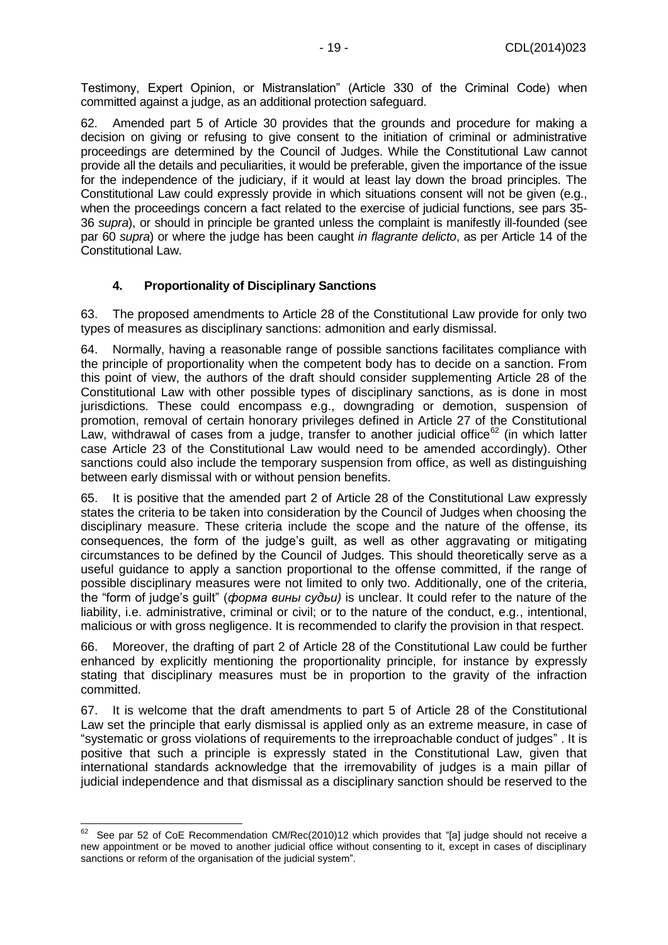Testimony, Expert Opinion, or Mistranslation" (Article 330 of the Criminal Code) when committed against a judge, as an additional protection safeguard.

62. Amended part 5 of Article 30 provides that the grounds and procedure for making a decision on giving or refusing to give consent to the initiation of criminal or administrative proceedings are determined by the Council of Judges. While the Constitutional Law cannot provide all the details and peculiarities, it would be preferable, given the importance of the issue for the independence of the judiciary, if it would at least lay down the broad principles. The Constitutional Law could expressly provide in which situations consent will not be given (e.g., when the proceedings concern a fact related to the exercise of judicial functions, see pars 35- 36 *supra*), or should in principle be granted unless the complaint is manifestly ill-founded (see par 60 *supra*) or where the judge has been caught *in flagrante delicto*, as per Article 14 of the Constitutional Law.

#### **4. Proportionality of Disciplinary Sanctions**

<span id="page-18-0"></span>63. The proposed amendments to Article 28 of the Constitutional Law provide for only two types of measures as disciplinary sanctions: admonition and early dismissal.

64. Normally, having a reasonable range of possible sanctions facilitates compliance with the principle of proportionality when the competent body has to decide on a sanction. From this point of view, the authors of the draft should consider supplementing Article 28 of the Constitutional Law with other possible types of disciplinary sanctions, as is done in most jurisdictions. These could encompass e.g., downgrading or demotion, suspension of promotion, removal of certain honorary privileges defined in Article 27 of the Constitutional Law, withdrawal of cases from a judge, transfer to another judicial office<sup>62</sup> (in which latter case Article 23 of the Constitutional Law would need to be amended accordingly). Other sanctions could also include the temporary suspension from office, as well as distinguishing between early dismissal with or without pension benefits.

65. It is positive that the amended part 2 of Article 28 of the Constitutional Law expressly states the criteria to be taken into consideration by the Council of Judges when choosing the disciplinary measure. These criteria include the scope and the nature of the offense, its consequences, the form of the judge's guilt, as well as other aggravating or mitigating circumstances to be defined by the Council of Judges. This should theoretically serve as a useful guidance to apply a sanction proportional to the offense committed, if the range of possible disciplinary measures were not limited to only two. Additionally, one of the criteria, the "form of judge's guilt" (*форма вины судьи)* is unclear. It could refer to the nature of the liability, i.e. administrative, criminal or civil; or to the nature of the conduct, e.g., intentional, malicious or with gross negligence. It is recommended to clarify the provision in that respect.

66. Moreover, the drafting of part 2 of Article 28 of the Constitutional Law could be further enhanced by explicitly mentioning the proportionality principle, for instance by expressly stating that disciplinary measures must be in proportion to the gravity of the infraction committed.

67. It is welcome that the draft amendments to part 5 of Article 28 of the Constitutional Law set the principle that early dismissal is applied only as an extreme measure, in case of "systematic or gross violations of requirements to the irreproachable conduct of judges" . It is positive that such a principle is expressly stated in the Constitutional Law, given that international standards acknowledge that the irremovability of judges is a main pillar of judicial independence and that dismissal as a disciplinary sanction should be reserved to the

<sup>62</sup> See par 52 of CoE Recommendation CM/Rec(2010)12 which provides that "[a] judge should not receive a new appointment or be moved to another judicial office without consenting to it, except in cases of disciplinary sanctions or reform of the organisation of the judicial system".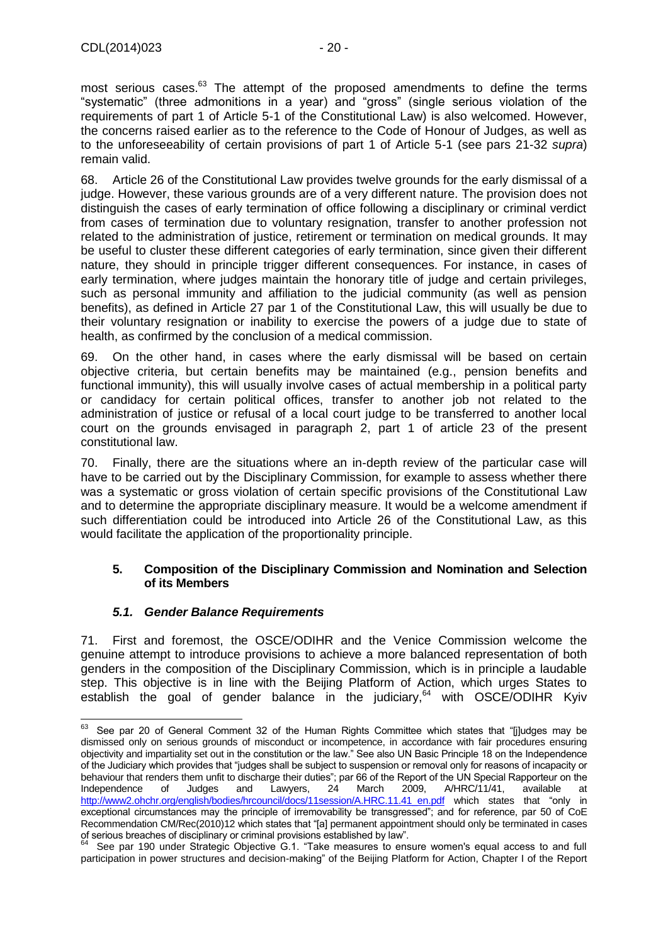most serious cases.<sup>63</sup> The attempt of the proposed amendments to define the terms "systematic" (three admonitions in a year) and "gross" (single serious violation of the requirements of part 1 of Article 5-1 of the Constitutional Law) is also welcomed. However, the concerns raised earlier as to the reference to the Code of Honour of Judges, as well as to the unforeseeability of certain provisions of part 1 of Article 5-1 (see pars 21-32 *supra*) remain valid.

68. Article 26 of the Constitutional Law provides twelve grounds for the early dismissal of a judge. However, these various grounds are of a very different nature. The provision does not distinguish the cases of early termination of office following a disciplinary or criminal verdict from cases of termination due to voluntary resignation, transfer to another profession not related to the administration of justice, retirement or termination on medical grounds. It may be useful to cluster these different categories of early termination, since given their different nature, they should in principle trigger different consequences. For instance, in cases of early termination, where judges maintain the honorary title of judge and certain privileges, such as personal immunity and affiliation to the judicial community (as well as pension benefits), as defined in Article 27 par 1 of the Constitutional Law, this will usually be due to their voluntary resignation or inability to exercise the powers of a judge due to state of health, as confirmed by the conclusion of a medical commission.

69. On the other hand, in cases where the early dismissal will be based on certain objective criteria, but certain benefits may be maintained (e.g., pension benefits and functional immunity), this will usually involve cases of actual membership in a political party or candidacy for certain political offices, transfer to another job not related to the administration of justice or refusal of a local court judge to be transferred to another local court on the grounds envisaged in paragraph 2, part 1 of article 23 of the present constitutional law.

70. Finally, there are the situations where an in-depth review of the particular case will have to be carried out by the Disciplinary Commission, for example to assess whether there was a systematic or gross violation of certain specific provisions of the Constitutional Law and to determine the appropriate disciplinary measure. It would be a welcome amendment if such differentiation could be introduced into Article 26 of the Constitutional Law, as this would facilitate the application of the proportionality principle.

#### <span id="page-19-0"></span>**5. Composition of the Disciplinary Commission and Nomination and Selection of its Members**

## *5.1. Gender Balance Requirements*

<span id="page-19-1"></span>71. First and foremost, the OSCE/ODIHR and the Venice Commission welcome the genuine attempt to introduce provisions to achieve a more balanced representation of both genders in the composition of the Disciplinary Commission, which is in principle a laudable step. This objective is in line with the Beijing Platform of Action, which urges States to establish the goal of gender balance in the judiciary, $64$  with OSCE/ODIHR Kyiv

<sup>63</sup> See par 20 of General Comment 32 of the Human Rights Committee which states that "[j]udges may be dismissed only on serious grounds of misconduct or incompetence, in accordance with fair procedures ensuring objectivity and impartiality set out in the constitution or the law." See also UN Basic Principle 18 on the Independence of the Judiciary which provides that "judges shall be subject to suspension or removal only for reasons of incapacity or behaviour that renders them unfit to discharge their duties"; par 66 of the Report of the UN Special Rapporteur on the Independence of Judges and Lawyers, 24 March 2009, A/HRC/11/41, available at [http://www2.ohchr.org/english/bodies/hrcouncil/docs/11session/A.HRC.11.41\\_en.pdf](http://www2.ohchr.org/english/bodies/hrcouncil/docs/11session/A.HRC.11.41_en.pdf) which states that "only in exceptional circumstances may the principle of irremovability be transgressed"; and for reference, par 50 of CoE Recommendation CM/Rec(2010)12 which states that "[a] permanent appointment should only be terminated in cases of serious breaches of disciplinary or criminal provisions established by law".

<sup>64</sup> See par 190 under Strategic Objective G.1. "Take measures to ensure women's equal access to and full participation in power structures and decision-making" of the Beijing Platform for Action, Chapter I of the Report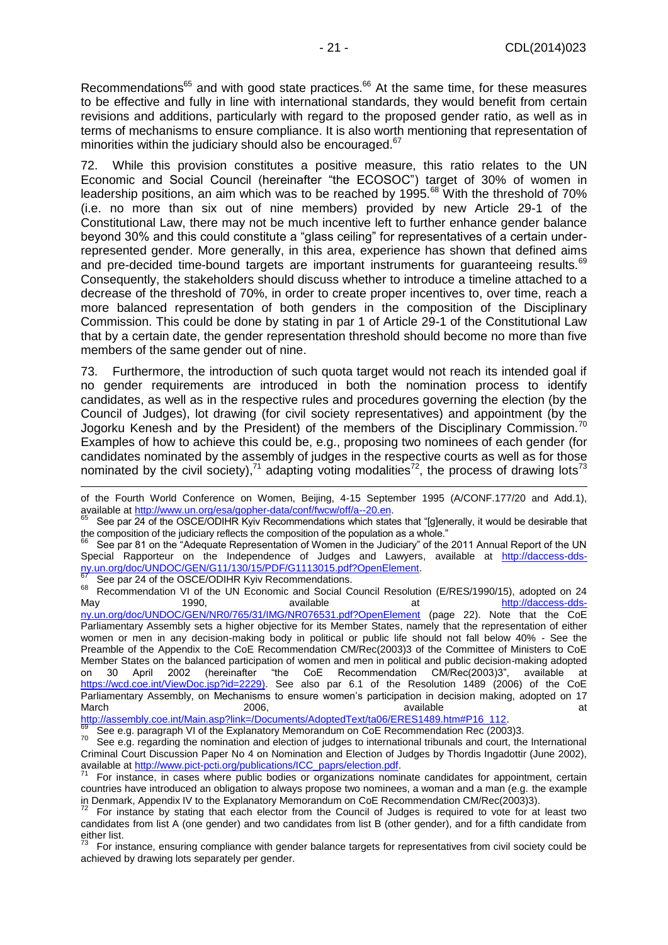Recommendations<sup>65</sup> and with good state practices.<sup>66</sup> At the same time, for these measures to be effective and fully in line with international standards, they would benefit from certain revisions and additions, particularly with regard to the proposed gender ratio, as well as in terms of mechanisms to ensure compliance. It is also worth mentioning that representation of minorities within the judiciary should also be encouraged.<sup>67</sup>

72. While this provision constitutes a positive measure, this ratio relates to the UN Economic and Social Council (hereinafter "the ECOSOC") target of 30% of women in leadership positions, an aim which was to be reached by 1995.<sup>68</sup> With the threshold of 70% (i.e. no more than six out of nine members) provided by new Article 29-1 of the Constitutional Law, there may not be much incentive left to further enhance gender balance beyond 30% and this could constitute a "glass ceiling" for representatives of a certain underrepresented gender. More generally, in this area, experience has shown that defined aims and pre-decided time-bound targets are important instruments for quaranteeing results.<sup>69</sup> Consequently, the stakeholders should discuss whether to introduce a timeline attached to a decrease of the threshold of 70%, in order to create proper incentives to, over time, reach a more balanced representation of both genders in the composition of the Disciplinary Commission. This could be done by stating in par 1 of Article 29-1 of the Constitutional Law that by a certain date, the gender representation threshold should become no more than five members of the same gender out of nine.

73. Furthermore, the introduction of such quota target would not reach its intended goal if no gender requirements are introduced in both the nomination process to identify candidates, as well as in the respective rules and procedures governing the election (by the Council of Judges), lot drawing (for civil society representatives) and appointment (by the Jogorku Kenesh and by the President) of the members of the Disciplinary Commission.<sup>70</sup> Examples of how to achieve this could be, e.g., proposing two nominees of each gender (for candidates nominated by the assembly of judges in the respective courts as well as for those nominated by the civil society),<sup>71</sup> adapting voting modalities<sup>72</sup>, the process of drawing lots<sup>73</sup>

See par 24 of the OSCE/ODIHR Kyiv Recommendations.

<sup>68</sup> Recommendation VI of the UN Economic and Social Council Resolution (E/RES/1990/15), adopted on 24 May 1990, available at the [http://daccess-dds](http://daccess-dds-ny.un.org/doc/UNDOC/GEN/NR0/765/31/IMG/NR076531.pdf?OpenElement)[ny.un.org/doc/UNDOC/GEN/NR0/765/31/IMG/NR076531.pdf?OpenElement](http://daccess-dds-ny.un.org/doc/UNDOC/GEN/NR0/765/31/IMG/NR076531.pdf?OpenElement) (page 22). Note that the CoE Parliamentary Assembly sets a higher objective for its Member States, namely that the representation of either women or men in any decision-making body in political or public life should not fall below 40% - See the Preamble of the Appendix to the CoE Recommendation CM/Rec(2003)3 of the Committee of Ministers to CoE Member States on the balanced participation of women and men in political and public decision-making adopted on 30 April 2002 (hereinafter "the CoE Recommendation CM/Rec(2003)3", available at [https://wcd.coe.int/ViewDoc.jsp?id=2229\)](https://wcd.coe.int/ViewDoc.jsp?id=2229). See also par 6.1 of the Resolution 1489 (2006) of the CoE Parliamentary Assembly, on Mechanisms to ensure women's participation in decision making, adopted on 17 March 2006, available at the control of the control of the control of the control of the control of the control of the control of the control of the control of the control of the control of the control of the control of th

[http://assembly.coe.int/Main.asp?link=/Documents/AdoptedText/ta06/ERES1489.htm#P16\\_112.](http://assembly.coe.int/Main.asp?link=/Documents/AdoptedText/ta06/ERES1489.htm#P16_112)

of the Fourth World Conference on Women, Beijing, 4-15 September 1995 (A/CONF.177/20 and Add.1), available at [http://www.un.org/esa/gopher-data/conf/fwcw/off/a--20.en.](http://www.un.org/esa/gopher-data/conf/fwcw/off/a--20.en)

See par 24 of the OSCE/ODIHR Kyiv Recommendations which states that "[g]enerally, it would be desirable that the composition of the judiciary reflects the composition of the population as a whole."

<sup>66</sup> See par 81 on the "Adequate Representation of Women in the Judiciary" of the 2011 Annual Report of the UN Special Rapporteur on the Independence of Judges and Lawyers, available at [http://daccess-dds](http://daccess-dds-ny.un.org/doc/UNDOC/GEN/G11/130/15/PDF/G1113015.pdf?OpenElement)[ny.un.org/doc/UNDOC/GEN/G11/130/15/PDF/G1113015.pdf?OpenElement.](http://daccess-dds-ny.un.org/doc/UNDOC/GEN/G11/130/15/PDF/G1113015.pdf?OpenElement)

 $\frac{69}{70}$  See e.g. paragraph VI of the Explanatory Memorandum on CoE Recommendation Rec (2003)3.

See e.g. regarding the nomination and election of judges to international tribunals and court, the International Criminal Court Discussion Paper No 4 on Nomination and Election of Judges by Thordis Ingadottir (June 2002), available at [http://www.pict-pcti.org/publications/ICC\\_paprs/election.pdf.](http://www.pict-pcti.org/publications/ICC_paprs/election.pdf)

For instance, in cases where public bodies or organizations nominate candidates for appointment, certain countries have introduced an obligation to always propose two nominees, a woman and a man (e.g. the example in Denmark, Appendix IV to the Explanatory Memorandum on CoE Recommendation CM/Rec(2003)3).

For instance by stating that each elector from the Council of Judges is required to vote for at least two candidates from list A (one gender) and two candidates from list B (other gender), and for a fifth candidate from  $e^{i}$ ther list.

 $73$  For instance, ensuring compliance with gender balance targets for representatives from civil society could be achieved by drawing lots separately per gender.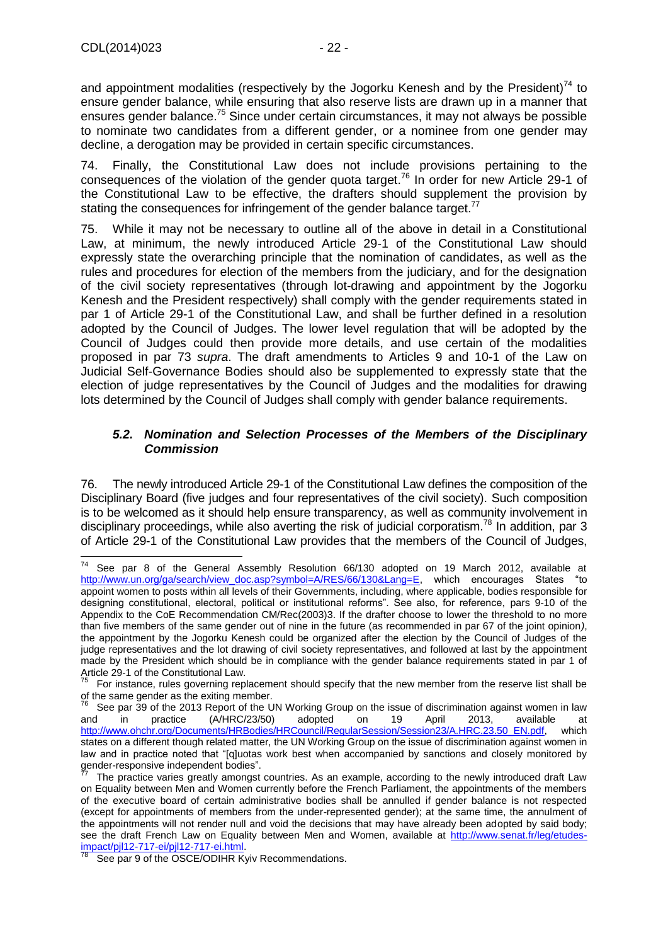and appointment modalities (respectively by the Jogorku Kenesh and by the President) $^{74}$  to ensure gender balance, while ensuring that also reserve lists are drawn up in a manner that ensures gender balance.<sup>75</sup> Since under certain circumstances, it may not always be possible to nominate two candidates from a different gender, or a nominee from one gender may decline, a derogation may be provided in certain specific circumstances.

74. Finally, the Constitutional Law does not include provisions pertaining to the consequences of the violation of the gender quota target.<sup>76</sup> In order for new Article 29-1 of the Constitutional Law to be effective, the drafters should supplement the provision by stating the consequences for infringement of the gender balance target.<sup>77</sup>

75. While it may not be necessary to outline all of the above in detail in a Constitutional Law, at minimum, the newly introduced Article 29-1 of the Constitutional Law should expressly state the overarching principle that the nomination of candidates, as well as the rules and procedures for election of the members from the judiciary, and for the designation of the civil society representatives (through lot-drawing and appointment by the Jogorku Kenesh and the President respectively) shall comply with the gender requirements stated in par 1 of Article 29-1 of the Constitutional Law, and shall be further defined in a resolution adopted by the Council of Judges. The lower level regulation that will be adopted by the Council of Judges could then provide more details, and use certain of the modalities proposed in par 73 *supra*. The draft amendments to Articles 9 and 10-1 of the Law on Judicial Self-Governance Bodies should also be supplemented to expressly state that the election of judge representatives by the Council of Judges and the modalities for drawing lots determined by the Council of Judges shall comply with gender balance requirements.

#### <span id="page-21-0"></span>*5.2. Nomination and Selection Processes of the Members of the Disciplinary Commission*

76. The newly introduced Article 29-1 of the Constitutional Law defines the composition of the Disciplinary Board (five judges and four representatives of the civil society). Such composition is to be welcomed as it should help ensure transparency, as well as community involvement in disciplinary proceedings, while also averting the risk of judicial corporatism.<sup>78</sup> In addition, par 3 of Article 29-1 of the Constitutional Law provides that the members of the Council of Judges,

 $74$ See par 8 of the General Assembly Resolution 66/130 adopted on 19 March 2012, available at [http://www.un.org/ga/search/view\\_doc.asp?symbol=A/RES/66/130&Lang=E,](http://www.un.org/ga/search/view_doc.asp?symbol=A/RES/66/130&Lang=E) which encourages States "to appoint women to posts within all levels of their Governments, including, where applicable, bodies responsible for designing constitutional, electoral, political or institutional reforms". See also, for reference, pars 9-10 of the Appendix to the CoE Recommendation CM/Rec(2003)3. If the drafter choose to lower the threshold to no more than five members of the same gender out of nine in the future (as recommended in par 67 of the joint opinion*)*, the appointment by the Jogorku Kenesh could be organized after the election by the Council of Judges of the judge representatives and the lot drawing of civil society representatives, and followed at last by the appointment made by the President which should be in compliance with the gender balance requirements stated in par 1 of Article 29-1 of the Constitutional Law.

<sup>75</sup> For instance, rules governing replacement should specify that the new member from the reserve list shall be of the same gender as the exiting member.

See par 39 of the 2013 Report of the UN Working Group on the issue of discrimination against women in law<br>
19 April 2013, available at (A/HRC/23/50) adopted on 19 April 2013, available at and in practice (A/HRC/23/50) adopted on 19 April 2013, available at [http://www.ohchr.org/Documents/HRBodies/HRCouncil/RegularSession/Session23/A.HRC.23.50\\_EN.pdf,](http://www.ohchr.org/Documents/HRBodies/HRCouncil/RegularSession/Session23/A.HRC.23.50_EN.pdf) which states on a different though related matter, the UN Working Group on the issue of discrimination against women in law and in practice noted that "[q]uotas work best when accompanied by sanctions and closely monitored by gender-responsive independent bodies".

The practice varies greatly amongst countries. As an example, according to the newly introduced draft Law on Equality between Men and Women currently before the French Parliament, the appointments of the members of the executive board of certain administrative bodies shall be annulled if gender balance is not respected (except for appointments of members from the under-represented gender); at the same time, the annulment of the appointments will not render null and void the decisions that may have already been adopted by said body; see the draft French Law on Equality between Men and Women, available at [http://www.senat.fr/leg/etudes](http://www.senat.fr/leg/etudes-impact/pjl12-717-ei/pjl12-717-ei.html)[impact/pjl12-717-ei/pjl12-717-ei.html.](http://www.senat.fr/leg/etudes-impact/pjl12-717-ei/pjl12-717-ei.html)

See par 9 of the OSCE/ODIHR Kyiv Recommendations.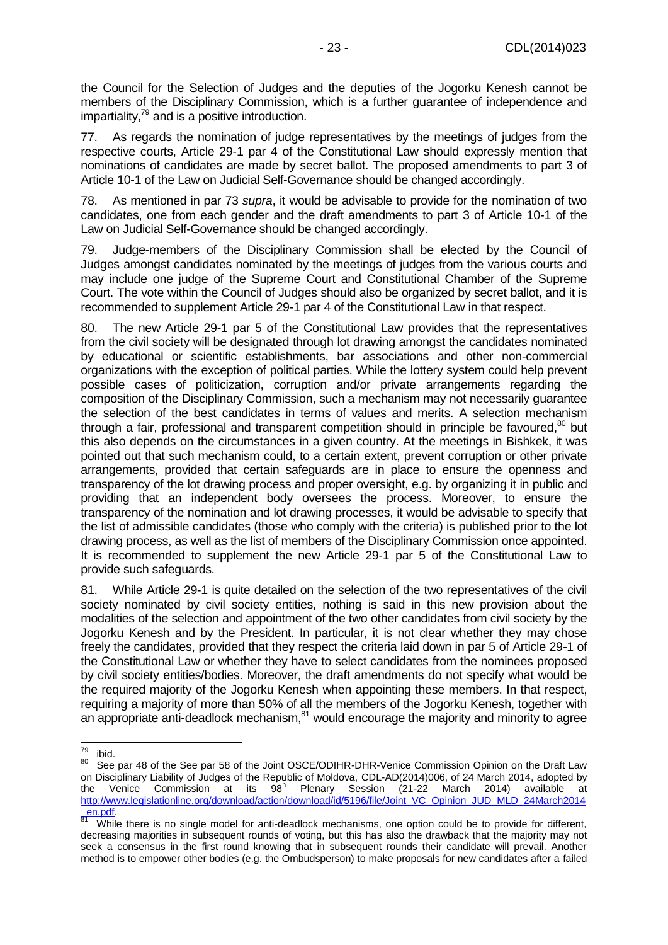the Council for the Selection of Judges and the deputies of the Jogorku Kenesh cannot be members of the Disciplinary Commission, which is a further guarantee of independence and impartiality, $79$  and is a positive introduction.

77. As regards the nomination of judge representatives by the meetings of judges from the respective courts, Article 29-1 par 4 of the Constitutional Law should expressly mention that nominations of candidates are made by secret ballot. The proposed amendments to part 3 of Article 10-1 of the Law on Judicial Self-Governance should be changed accordingly.

78. As mentioned in par 73 *supra*, it would be advisable to provide for the nomination of two candidates, one from each gender and the draft amendments to part 3 of Article 10-1 of the Law on Judicial Self-Governance should be changed accordingly.

79. Judge-members of the Disciplinary Commission shall be elected by the Council of Judges amongst candidates nominated by the meetings of judges from the various courts and may include one judge of the Supreme Court and Constitutional Chamber of the Supreme Court. The vote within the Council of Judges should also be organized by secret ballot, and it is recommended to supplement Article 29-1 par 4 of the Constitutional Law in that respect.

80. The new Article 29-1 par 5 of the Constitutional Law provides that the representatives from the civil society will be designated through lot drawing amongst the candidates nominated by educational or scientific establishments, bar associations and other non-commercial organizations with the exception of political parties. While the lottery system could help prevent possible cases of politicization, corruption and/or private arrangements regarding the composition of the Disciplinary Commission, such a mechanism may not necessarily guarantee the selection of the best candidates in terms of values and merits. A selection mechanism through a fair, professional and transparent competition should in principle be favoured,<sup>80</sup> but this also depends on the circumstances in a given country. At the meetings in Bishkek, it was pointed out that such mechanism could, to a certain extent, prevent corruption or other private arrangements, provided that certain safeguards are in place to ensure the openness and transparency of the lot drawing process and proper oversight, e.g. by organizing it in public and providing that an independent body oversees the process. Moreover, to ensure the transparency of the nomination and lot drawing processes, it would be advisable to specify that the list of admissible candidates (those who comply with the criteria) is published prior to the lot drawing process, as well as the list of members of the Disciplinary Commission once appointed. It is recommended to supplement the new Article 29-1 par 5 of the Constitutional Law to provide such safeguards.

81. While Article 29-1 is quite detailed on the selection of the two representatives of the civil society nominated by civil society entities, nothing is said in this new provision about the modalities of the selection and appointment of the two other candidates from civil society by the Jogorku Kenesh and by the President. In particular, it is not clear whether they may chose freely the candidates, provided that they respect the criteria laid down in par 5 of Article 29-1 of the Constitutional Law or whether they have to select candidates from the nominees proposed by civil society entities/bodies. Moreover, the draft amendments do not specify what would be the required majority of the Jogorku Kenesh when appointing these members. In that respect, requiring a majority of more than 50% of all the members of the Jogorku Kenesh, together with an appropriate anti-deadlock mechanism, $81$  would encourage the majority and minority to agree

<sup>79</sup>  $\frac{79}{80}$  ibid.

See par 48 of the See par 58 of the Joint OSCE/ODIHR-DHR-Venice Commission Opinion on the Draft Law on Disciplinary Liability of Judges of the Republic of Moldova, CDL-AD(2014)006, of 24 March 2014, adopted by the Venice Commission at its  $98^h$  Plenary Session (21-22 March 2014) available at the Venice Commission at its Plenary Session (21-22 March 2014) available at [http://www.legislationline.org/download/action/download/id/5196/file/Joint\\_VC\\_Opinion\\_JUD\\_MLD\\_24March2014](http://www.legislationline.org/download/action/download/id/5196/file/Joint_VC_Opinion_JUD_MLD_24March2014_en.pdf)  $_{81}$  en.pdf

While there is no single model for anti-deadlock mechanisms, one option could be to provide for different, decreasing majorities in subsequent rounds of voting, but this has also the drawback that the majority may not seek a consensus in the first round knowing that in subsequent rounds their candidate will prevail. Another method is to empower other bodies (e.g. the Ombudsperson) to make proposals for new candidates after a failed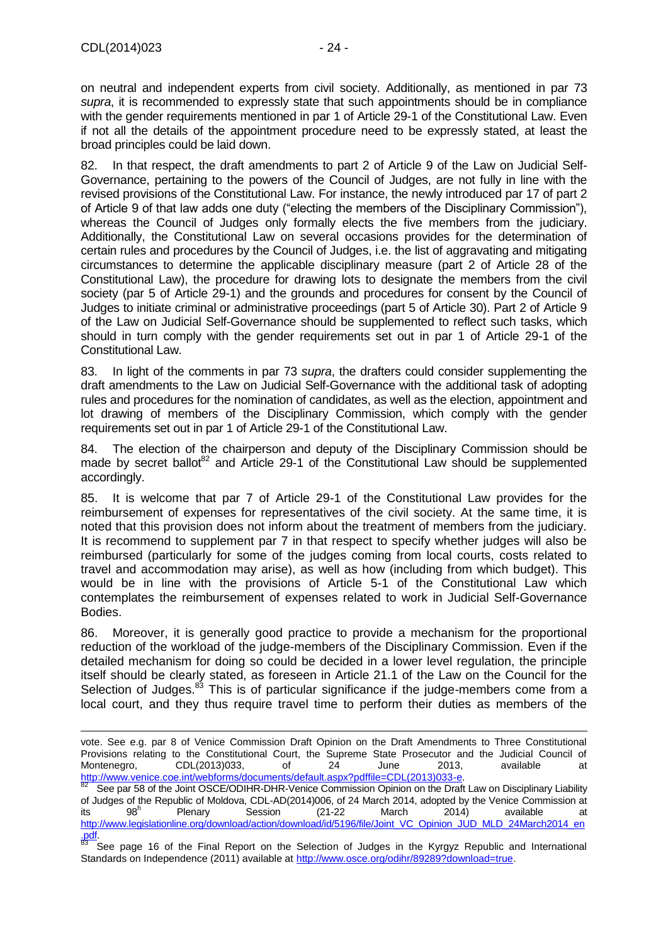-

on neutral and independent experts from civil society. Additionally, as mentioned in par 73 *supra*, it is recommended to expressly state that such appointments should be in compliance with the gender requirements mentioned in par 1 of Article 29-1 of the Constitutional Law. Even if not all the details of the appointment procedure need to be expressly stated, at least the broad principles could be laid down.

82. In that respect, the draft amendments to part 2 of Article 9 of the Law on Judicial Self-Governance, pertaining to the powers of the Council of Judges, are not fully in line with the revised provisions of the Constitutional Law. For instance, the newly introduced par 17 of part 2 of Article 9 of that law adds one duty ("electing the members of the Disciplinary Commission"), whereas the Council of Judges only formally elects the five members from the judiciary. Additionally, the Constitutional Law on several occasions provides for the determination of certain rules and procedures by the Council of Judges, i.e. the list of aggravating and mitigating circumstances to determine the applicable disciplinary measure (part 2 of Article 28 of the Constitutional Law), the procedure for drawing lots to designate the members from the civil society (par 5 of Article 29-1) and the grounds and procedures for consent by the Council of Judges to initiate criminal or administrative proceedings (part 5 of Article 30). Part 2 of Article 9 of the Law on Judicial Self-Governance should be supplemented to reflect such tasks, which should in turn comply with the gender requirements set out in par 1 of Article 29-1 of the Constitutional Law.

83. In light of the comments in par 73 *supra*, the drafters could consider supplementing the draft amendments to the Law on Judicial Self-Governance with the additional task of adopting rules and procedures for the nomination of candidates, as well as the election, appointment and lot drawing of members of the Disciplinary Commission, which comply with the gender requirements set out in par 1 of Article 29-1 of the Constitutional Law.

84. The election of the chairperson and deputy of the Disciplinary Commission should be made by secret ballot<sup>82</sup> and Article 29-1 of the Constitutional Law should be supplemented accordingly.

85. It is welcome that par 7 of Article 29-1 of the Constitutional Law provides for the reimbursement of expenses for representatives of the civil society. At the same time, it is noted that this provision does not inform about the treatment of members from the judiciary. It is recommend to supplement par 7 in that respect to specify whether judges will also be reimbursed (particularly for some of the judges coming from local courts, costs related to travel and accommodation may arise), as well as how (including from which budget). This would be in line with the provisions of Article 5-1 of the Constitutional Law which contemplates the reimbursement of expenses related to work in Judicial Self-Governance Bodies.

86. Moreover, it is generally good practice to provide a mechanism for the proportional reduction of the workload of the judge-members of the Disciplinary Commission. Even if the detailed mechanism for doing so could be decided in a lower level regulation, the principle itself should be clearly stated, as foreseen in Article 21.1 of the Law on the Council for the Selection of Judges.<sup>83</sup> This is of particular significance if the judge-members come from a local court, and they thus require travel time to perform their duties as members of the

vote. See e.g. par 8 of Venice Commission Draft Opinion on the Draft Amendments to Three Constitutional Provisions relating to the Constitutional Court, the Supreme State Prosecutor and the Judicial Council of Montenegro, CDL(2013)033, of 24 June 2013, available at [http://www.venice.coe.int/webforms/documents/default.aspx?pdffile=CDL\(2013\)033-e.](http://www.venice.coe.int/webforms/documents/default.aspx?pdffile=CDL(2013)033-e)

See par 58 of the Joint OSCE/ODIHR-DHR-Venice Commission Opinion on the Draft Law on Disciplinary Liability of Judges of the Republic of Moldova, CDL-AD(2014)006, of 24 March 2014, adopted by the Venice Commission at its  $98<sup>h</sup>$ Plenary Session (21-22 March 2014) available at [http://www.legislationline.org/download/action/download/id/5196/file/Joint\\_VC\\_Opinion\\_JUD\\_MLD\\_24March2014\\_en](http://www.legislationline.org/download/action/download/id/5196/file/Joint_VC_Opinion_JUD_MLD_24March2014_en.pdf) [.pdf.](http://www.legislationline.org/download/action/download/id/5196/file/Joint_VC_Opinion_JUD_MLD_24March2014_en.pdf)

<sup>&</sup>lt;sup>83</sup> See page 16 of the Final Report on the Selection of Judges in the Kyrgyz Republic and International Standards on Independence (2011) available at [http://www.osce.org/odihr/89289?download=true.](http://www.osce.org/odihr/89289?download=true)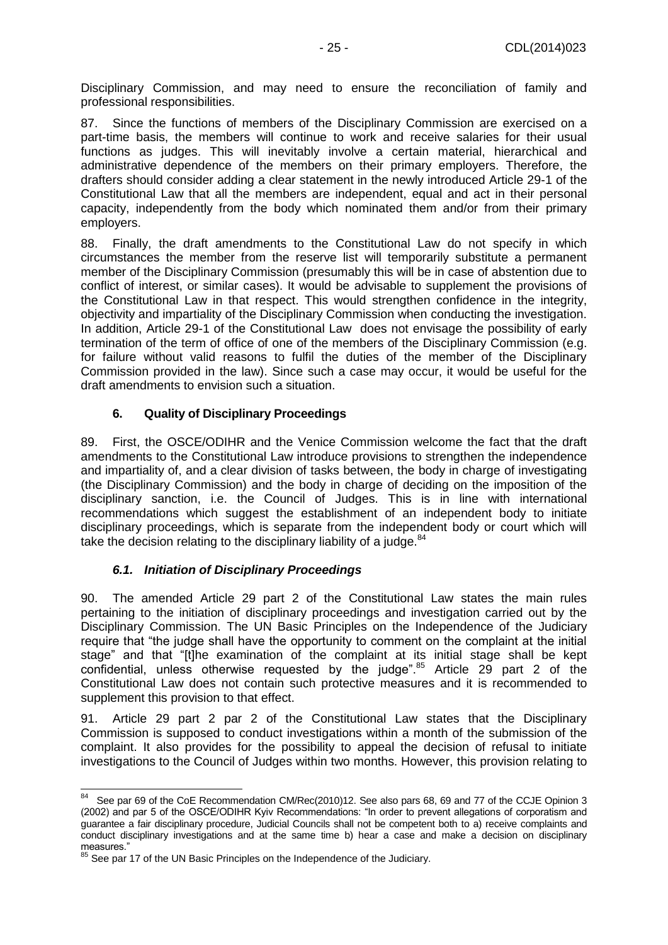Disciplinary Commission, and may need to ensure the reconciliation of family and professional responsibilities.

87. Since the functions of members of the Disciplinary Commission are exercised on a part-time basis, the members will continue to work and receive salaries for their usual functions as judges. This will inevitably involve a certain material, hierarchical and administrative dependence of the members on their primary employers. Therefore, the drafters should consider adding a clear statement in the newly introduced Article 29-1 of the Constitutional Law that all the members are independent, equal and act in their personal capacity, independently from the body which nominated them and/or from their primary employers.

88. Finally, the draft amendments to the Constitutional Law do not specify in which circumstances the member from the reserve list will temporarily substitute a permanent member of the Disciplinary Commission (presumably this will be in case of abstention due to conflict of interest, or similar cases). It would be advisable to supplement the provisions of the Constitutional Law in that respect. This would strengthen confidence in the integrity, objectivity and impartiality of the Disciplinary Commission when conducting the investigation. In addition, Article 29-1 of the Constitutional Law does not envisage the possibility of early termination of the term of office of one of the members of the Disciplinary Commission (e.g. for failure without valid reasons to fulfil the duties of the member of the Disciplinary Commission provided in the law). Since such a case may occur, it would be useful for the draft amendments to envision such a situation.

#### **6. Quality of Disciplinary Proceedings**

<span id="page-24-0"></span>89. First, the OSCE/ODIHR and the Venice Commission welcome the fact that the draft amendments to the Constitutional Law introduce provisions to strengthen the independence and impartiality of, and a clear division of tasks between, the body in charge of investigating (the Disciplinary Commission) and the body in charge of deciding on the imposition of the disciplinary sanction, i.e. the Council of Judges. This is in line with international recommendations which suggest the establishment of an independent body to initiate disciplinary proceedings, which is separate from the independent body or court which will take the decision relating to the disciplinary liability of a judge.<sup>84</sup>

## *6.1. Initiation of Disciplinary Proceedings*

<span id="page-24-1"></span>90. The amended Article 29 part 2 of the Constitutional Law states the main rules pertaining to the initiation of disciplinary proceedings and investigation carried out by the Disciplinary Commission. The UN Basic Principles on the Independence of the Judiciary require that "the judge shall have the opportunity to comment on the complaint at the initial stage" and that "[t]he examination of the complaint at its initial stage shall be kept confidential, unless otherwise requested by the judge". $85$  Article 29 part 2 of the Constitutional Law does not contain such protective measures and it is recommended to supplement this provision to that effect.

91. Article 29 part 2 par 2 of the Constitutional Law states that the Disciplinary Commission is supposed to conduct investigations within a month of the submission of the complaint. It also provides for the possibility to appeal the decision of refusal to initiate investigations to the Council of Judges within two months. However, this provision relating to

<sup>84</sup> See par 69 of the CoE Recommendation CM/Rec(2010)12. See also pars 68, 69 and 77 of the CCJE Opinion 3 (2002) and par 5 of the OSCE/ODIHR Kyiv Recommendations: "In order to prevent allegations of corporatism and guarantee a fair disciplinary procedure, Judicial Councils shall not be competent both to a) receive complaints and conduct disciplinary investigations and at the same time b) hear a case and make a decision on disciplinary measures."

See par 17 of the UN Basic Principles on the Independence of the Judiciary.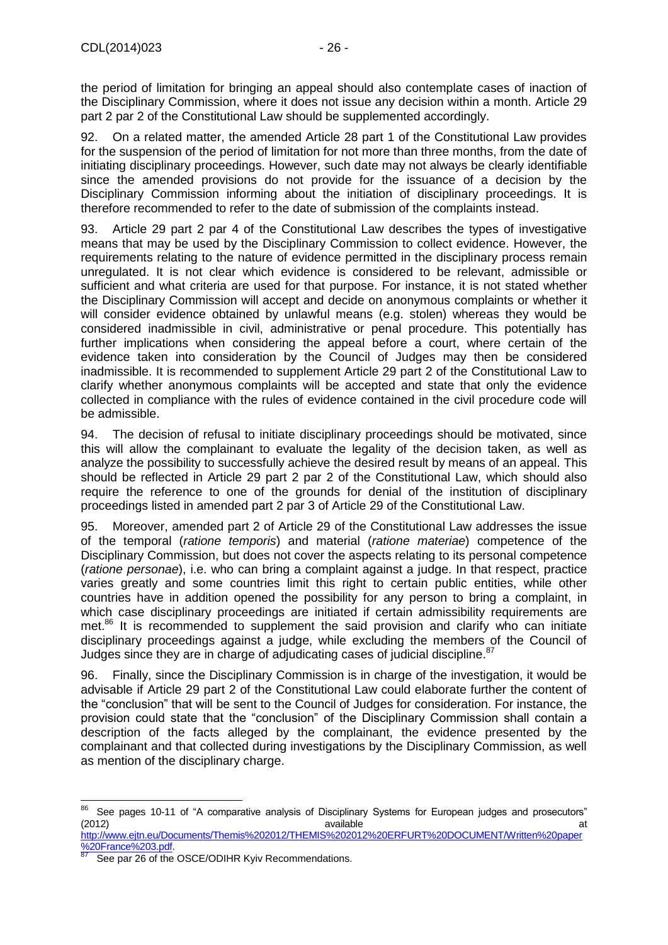the period of limitation for bringing an appeal should also contemplate cases of inaction of the Disciplinary Commission, where it does not issue any decision within a month. Article 29 part 2 par 2 of the Constitutional Law should be supplemented accordingly.

92. On a related matter, the amended Article 28 part 1 of the Constitutional Law provides for the suspension of the period of limitation for not more than three months, from the date of initiating disciplinary proceedings. However, such date may not always be clearly identifiable since the amended provisions do not provide for the issuance of a decision by the Disciplinary Commission informing about the initiation of disciplinary proceedings. It is therefore recommended to refer to the date of submission of the complaints instead.

93. Article 29 part 2 par 4 of the Constitutional Law describes the types of investigative means that may be used by the Disciplinary Commission to collect evidence. However, the requirements relating to the nature of evidence permitted in the disciplinary process remain unregulated. It is not clear which evidence is considered to be relevant, admissible or sufficient and what criteria are used for that purpose. For instance, it is not stated whether the Disciplinary Commission will accept and decide on anonymous complaints or whether it will consider evidence obtained by unlawful means (e.g. stolen) whereas they would be considered inadmissible in civil, administrative or penal procedure. This potentially has further implications when considering the appeal before a court, where certain of the evidence taken into consideration by the Council of Judges may then be considered inadmissible. It is recommended to supplement Article 29 part 2 of the Constitutional Law to clarify whether anonymous complaints will be accepted and state that only the evidence collected in compliance with the rules of evidence contained in the civil procedure code will be admissible.

94. The decision of refusal to initiate disciplinary proceedings should be motivated, since this will allow the complainant to evaluate the legality of the decision taken, as well as analyze the possibility to successfully achieve the desired result by means of an appeal. This should be reflected in Article 29 part 2 par 2 of the Constitutional Law, which should also require the reference to one of the grounds for denial of the institution of disciplinary proceedings listed in amended part 2 par 3 of Article 29 of the Constitutional Law.

95. Moreover, amended part 2 of Article 29 of the Constitutional Law addresses the issue of the temporal (*ratione temporis*) and material (*ratione materiae*) competence of the Disciplinary Commission, but does not cover the aspects relating to its personal competence (*ratione personae*), i.e. who can bring a complaint against a judge. In that respect, practice varies greatly and some countries limit this right to certain public entities, while other countries have in addition opened the possibility for any person to bring a complaint, in which case disciplinary proceedings are initiated if certain admissibility requirements are met.<sup>86</sup> It is recommended to supplement the said provision and clarify who can initiate disciplinary proceedings against a judge, while excluding the members of the Council of Judges since they are in charge of adjudicating cases of judicial discipline. <sup>87</sup>

96. Finally, since the Disciplinary Commission is in charge of the investigation, it would be advisable if Article 29 part 2 of the Constitutional Law could elaborate further the content of the "conclusion" that will be sent to the Council of Judges for consideration. For instance, the provision could state that the "conclusion" of the Disciplinary Commission shall contain a description of the facts alleged by the complainant, the evidence presented by the complainant and that collected during investigations by the Disciplinary Commission, as well as mention of the disciplinary charge.

 $\overline{a}$ 

<sup>&</sup>lt;sup>86</sup> See pages 10-11 of "A comparative analysis of Disciplinary Systems for European judges and prosecutors" (2012) available at the control of the control of the control of the control of the control of the control of the control of the control of the control of the control of the control of the control of the control of the con [http://www.ejtn.eu/Documents/Themis%202012/THEMIS%202012%20ERFURT%20DOCUMENT/Written%20paper](http://www.ejtn.eu/Documents/Themis%202012/THEMIS%202012%20ERFURT%20DOCUMENT/Written%20paper%20France%203.pdf)

<sup>%20</sup>France%203.pdf See par 26 of the OSCE/ODIHR Kyiv Recommendations.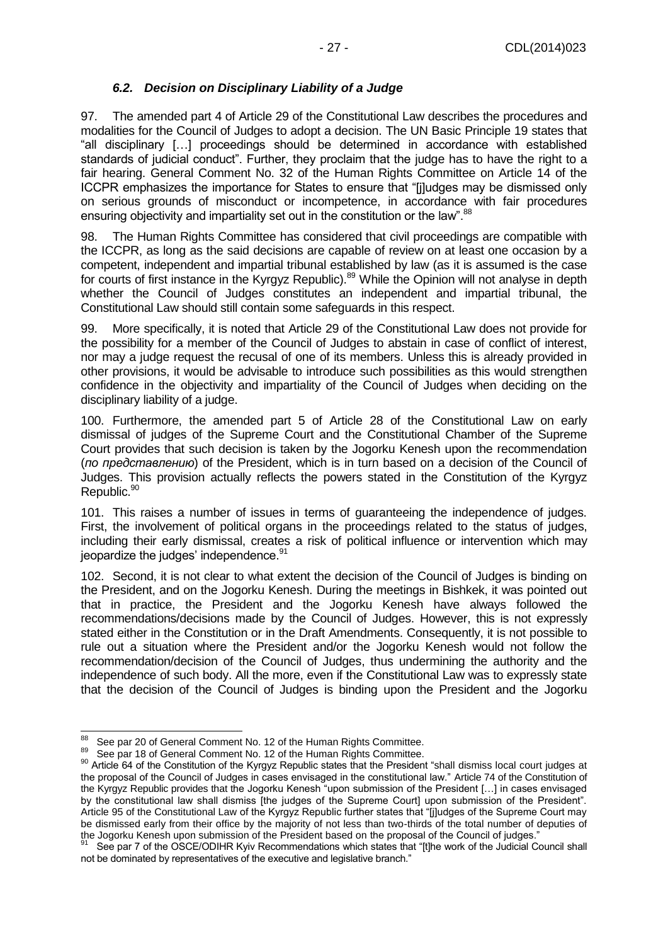#### *6.2. Decision on Disciplinary Liability of a Judge*

<span id="page-26-0"></span>97. The amended part 4 of Article 29 of the Constitutional Law describes the procedures and modalities for the Council of Judges to adopt a decision. The UN Basic Principle 19 states that "all disciplinary […] proceedings should be determined in accordance with established standards of judicial conduct". Further, they proclaim that the judge has to have the right to a fair hearing. General Comment No. 32 of the Human Rights Committee on Article 14 of the ICCPR emphasizes the importance for States to ensure that "[j]udges may be dismissed only on serious grounds of misconduct or incompetence, in accordance with fair procedures ensuring objectivity and impartiality set out in the constitution or the law".<sup>88</sup>

98. The Human Rights Committee has considered that civil proceedings are compatible with the ICCPR, as long as the said decisions are capable of review on at least one occasion by a competent, independent and impartial tribunal established by law (as it is assumed is the case for courts of first instance in the Kyrgyz Republic).<sup>89</sup> While the Opinion will not analyse in depth whether the Council of Judges constitutes an independent and impartial tribunal, the Constitutional Law should still contain some safeguards in this respect.

99. More specifically, it is noted that Article 29 of the Constitutional Law does not provide for the possibility for a member of the Council of Judges to abstain in case of conflict of interest, nor may a judge request the recusal of one of its members. Unless this is already provided in other provisions, it would be advisable to introduce such possibilities as this would strengthen confidence in the objectivity and impartiality of the Council of Judges when deciding on the disciplinary liability of a judge.

100. Furthermore, the amended part 5 of Article 28 of the Constitutional Law on early dismissal of judges of the Supreme Court and the Constitutional Chamber of the Supreme Court provides that such decision is taken by the Jogorku Kenesh upon the recommendation (*по представлению*) of the President, which is in turn based on a decision of the Council of Judges. This provision actually reflects the powers stated in the Constitution of the Kyrgyz Republic.<sup>90</sup>

101. This raises a number of issues in terms of guaranteeing the independence of judges. First, the involvement of political organs in the proceedings related to the status of judges, including their early dismissal, creates a risk of political influence or intervention which may jeopardize the judges' independence.<sup>91</sup>

102. Second, it is not clear to what extent the decision of the Council of Judges is binding on the President, and on the Jogorku Kenesh. During the meetings in Bishkek, it was pointed out that in practice, the President and the Jogorku Kenesh have always followed the recommendations/decisions made by the Council of Judges. However, this is not expressly stated either in the Constitution or in the Draft Amendments. Consequently, it is not possible to rule out a situation where the President and/or the Jogorku Kenesh would not follow the recommendation/decision of the Council of Judges, thus undermining the authority and the independence of such body. All the more, even if the Constitutional Law was to expressly state that the decision of the Council of Judges is binding upon the President and the Jogorku

<sup>88</sup> See par 20 of General Comment No. 12 of the Human Rights Committee.

<sup>89</sup> See par 18 of General Comment No. 12 of the Human Rights Committee.

<sup>90</sup> Article 64 of the Constitution of the Kyrgyz Republic states that the President "shall dismiss local court judges at the proposal of the Council of Judges in cases envisaged in the constitutional law." Article 74 of the Constitution of the Kyrgyz Republic provides that the Jogorku Kenesh "upon submission of the President […] in cases envisaged by the constitutional law shall dismiss [the judges of the Supreme Court] upon submission of the President". Article 95 of the Constitutional Law of the Kyrgyz Republic further states that "[j]udges of the Supreme Court may be dismissed early from their office by the majority of not less than two-thirds of the total number of deputies of the Jogorku Kenesh upon submission of the President based on the proposal of the Council of judges."

See par 7 of the OSCE/ODIHR Kyiv Recommendations which states that "[t]he work of the Judicial Council shall not be dominated by representatives of the executive and legislative branch."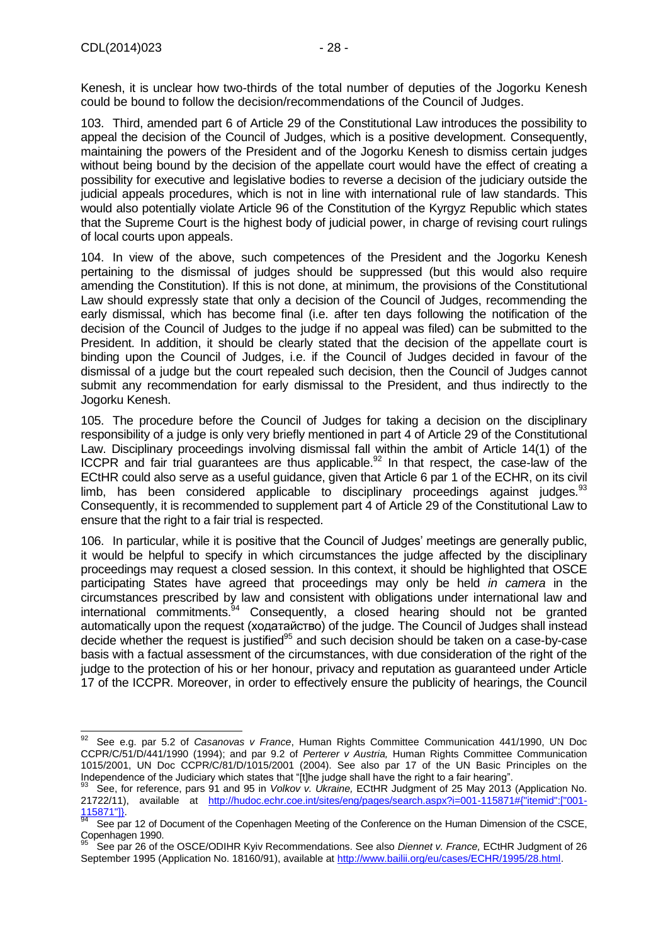Kenesh, it is unclear how two-thirds of the total number of deputies of the Jogorku Kenesh could be bound to follow the decision/recommendations of the Council of Judges.

103. Third, amended part 6 of Article 29 of the Constitutional Law introduces the possibility to appeal the decision of the Council of Judges, which is a positive development. Consequently, maintaining the powers of the President and of the Jogorku Kenesh to dismiss certain judges without being bound by the decision of the appellate court would have the effect of creating a possibility for executive and legislative bodies to reverse a decision of the judiciary outside the judicial appeals procedures, which is not in line with international rule of law standards. This would also potentially violate Article 96 of the Constitution of the Kyrgyz Republic which states that the Supreme Court is the highest body of judicial power, in charge of revising court rulings of local courts upon appeals.

104. In view of the above, such competences of the President and the Jogorku Kenesh pertaining to the dismissal of judges should be suppressed (but this would also require amending the Constitution). If this is not done, at minimum, the provisions of the Constitutional Law should expressly state that only a decision of the Council of Judges, recommending the early dismissal, which has become final (i.e. after ten days following the notification of the decision of the Council of Judges to the judge if no appeal was filed) can be submitted to the President. In addition, it should be clearly stated that the decision of the appellate court is binding upon the Council of Judges, i.e. if the Council of Judges decided in favour of the dismissal of a judge but the court repealed such decision, then the Council of Judges cannot submit any recommendation for early dismissal to the President, and thus indirectly to the Jogorku Kenesh.

105. The procedure before the Council of Judges for taking a decision on the disciplinary responsibility of a judge is only very briefly mentioned in part 4 of Article 29 of the Constitutional Law. Disciplinary proceedings involving dismissal fall within the ambit of Article 14(1) of the ICCPR and fair trial quarantees are thus applicable.<sup>92</sup> In that respect, the case-law of the ECtHR could also serve as a useful guidance, given that Article 6 par 1 of the ECHR, on its civil limb, has been considered applicable to disciplinary proceedings against judges. $93$ Consequently, it is recommended to supplement part 4 of Article 29 of the Constitutional Law to ensure that the right to a fair trial is respected.

106. In particular, while it is positive that the Council of Judges' meetings are generally public, it would be helpful to specify in which circumstances the judge affected by the disciplinary proceedings may request a closed session. In this context, it should be highlighted that OSCE participating States have agreed that proceedings may only be held *in camera* in the circumstances prescribed by law and consistent with obligations under international law and international commitments.<sup>94</sup> Consequently, a closed hearing should not be granted automatically upon the request (ходатайство) of the judge. The Council of Judges shall instead decide whether the request is justified<sup>95</sup> and such decision should be taken on a case-by-case basis with a factual assessment of the circumstances, with due consideration of the right of the judge to the protection of his or her honour, privacy and reputation as guaranteed under Article 17 of the ICCPR. Moreover, in order to effectively ensure the publicity of hearings, the Council

<sup>92</sup> <sup>92</sup> See e.g. par 5.2 of *Casanovas v France*, Human Rights Committee Communication 441/1990, UN Doc CCPR/C/51/D/441/1990 (1994); and par 9.2 of *Perterer v Austria,* Human Rights Committee Communication 1015/2001, UN Doc CCPR/C/81/D/1015/2001 (2004). See also par 17 of the UN Basic Principles on the Independence of the Judiciary which states that "[t]he judge shall have the right to a fair hearing".

<sup>93</sup> See, for reference, pars 91 and 95 in *Volkov v. Ukraine,* ECtHR Judgment of 25 May 2013 (Application No. 21722/11), available at [http://hudoc.echr.coe.int/sites/eng/pages/search.aspx?i=001-115871#{"itemid":\["001-](http://hudoc.echr.coe.int/sites/eng/pages/search.aspx?i=001-115871#{"itemid":["001-115871"]})  $\frac{115871"]}{94}$ 

See par 12 of Document of the Copenhagen Meeting of the Conference on the Human Dimension of the CSCE, Copenhagen 1990.

<sup>95</sup> See par 26 of the OSCE/ODIHR Kyiv Recommendations. See also *Diennet v. France,* ECtHR Judgment of 26 September 1995 (Application No. 18160/91), available a[t http://www.bailii.org/eu/cases/ECHR/1995/28.html.](http://www.bailii.org/eu/cases/ECHR/1995/28.html)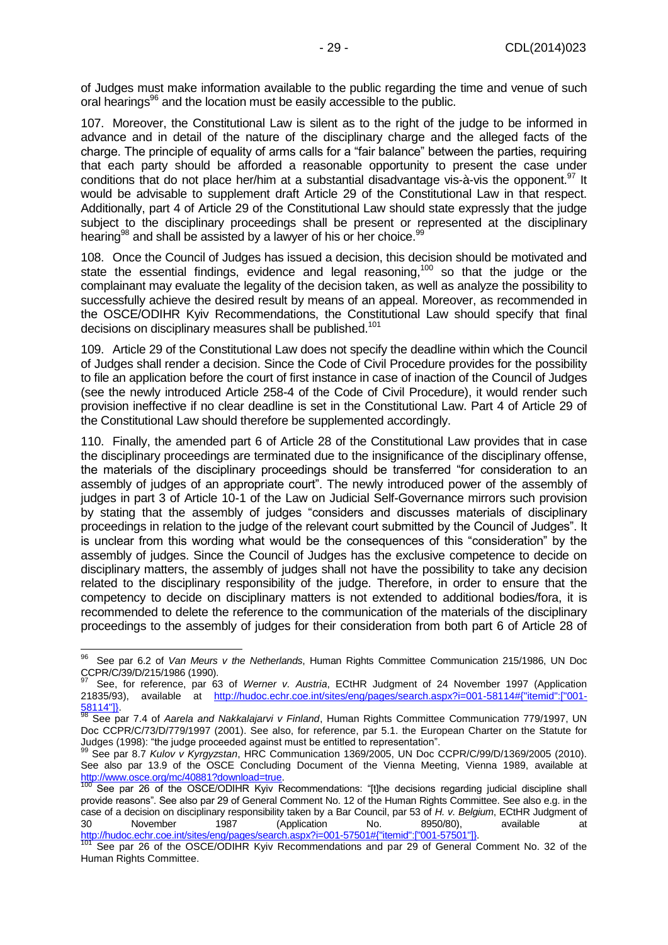of Judges must make information available to the public regarding the time and venue of such oral hearings<sup>96</sup> and the location must be easily accessible to the public.

107. Moreover, the Constitutional Law is silent as to the right of the judge to be informed in advance and in detail of the nature of the disciplinary charge and the alleged facts of the charge. The principle of equality of arms calls for a "fair balance" between the parties, requiring that each party should be afforded a reasonable opportunity to present the case under conditions that do not place her/him at a substantial disadvantage vis-à-vis the opponent.  $97$  It would be advisable to supplement draft Article 29 of the Constitutional Law in that respect. Additionally, part 4 of Article 29 of the Constitutional Law should state expressly that the judge subject to the disciplinary proceedings shall be present or represented at the disciplinary hearing<sup>98</sup> and shall be assisted by a lawyer of his or her choice.<sup>99</sup>

108. Once the Council of Judges has issued a decision, this decision should be motivated and state the essential findings, evidence and legal reasoning,<sup>100</sup> so that the judge or the complainant may evaluate the legality of the decision taken, as well as analyze the possibility to successfully achieve the desired result by means of an appeal. Moreover, as recommended in the OSCE/ODIHR Kyiv Recommendations, the Constitutional Law should specify that final decisions on disciplinary measures shall be published.<sup>101</sup>

109. Article 29 of the Constitutional Law does not specify the deadline within which the Council of Judges shall render a decision. Since the Code of Civil Procedure provides for the possibility to file an application before the court of first instance in case of inaction of the Council of Judges (see the newly introduced Article 258-4 of the Code of Civil Procedure), it would render such provision ineffective if no clear deadline is set in the Constitutional Law. Part 4 of Article 29 of the Constitutional Law should therefore be supplemented accordingly.

110. Finally, the amended part 6 of Article 28 of the Constitutional Law provides that in case the disciplinary proceedings are terminated due to the insignificance of the disciplinary offense, the materials of the disciplinary proceedings should be transferred "for consideration to an assembly of judges of an appropriate court". The newly introduced power of the assembly of judges in part 3 of Article 10-1 of the Law on Judicial Self-Governance mirrors such provision by stating that the assembly of judges "considers and discusses materials of disciplinary proceedings in relation to the judge of the relevant court submitted by the Council of Judges". It is unclear from this wording what would be the consequences of this "consideration" by the assembly of judges. Since the Council of Judges has the exclusive competence to decide on disciplinary matters, the assembly of judges shall not have the possibility to take any decision related to the disciplinary responsibility of the judge. Therefore, in order to ensure that the competency to decide on disciplinary matters is not extended to additional bodies/fora, it is recommended to delete the reference to the communication of the materials of the disciplinary proceedings to the assembly of judges for their consideration from both part 6 of Article 28 of

<sup>96</sup> <sup>96</sup> See par 6.2 of *Van Meurs v the Netherlands*, Human Rights Committee Communication 215/1986, UN Doc CCPR/C/39/D/215/1986 (1990).

<sup>97</sup> See, for reference, par 63 of *Werner v. Austria*, ECtHR Judgment of 24 November 1997 (Application 21835/93), available at [http://hudoc.echr.coe.int/sites/eng/pages/search.aspx?i=001-58114#{"itemid":\["001-](http://hudoc.echr.coe.int/sites/eng/pages/search.aspx?i=001-58114#{"itemid":["001-58114"]})  $\frac{58114}{98}$ 

<sup>98</sup> See par 7.4 of *Aarela and Nakkalajarvi v Finland*, Human Rights Committee Communication 779/1997, UN Doc CCPR/C/73/D/779/1997 (2001). See also, for reference, par 5.1. the European Charter on the Statute for Judges (1998): "the judge proceeded against must be entitled to representation".

<sup>99</sup> See par 8.7 *Kulov v Kyrgyzstan*, HRC Communication 1369/2005, UN Doc CCPR/C/99/D/1369/2005 (2010). See also par 13.9 of the OSCE Concluding Document of the Vienna Meeting, Vienna 1989, available at [http://www.osce.org/mc/40881?download=true.](http://www.osce.org/mc/40881?download=true)

See par 26 of the OSCE/ODIHR Kyiv Recommendations: "[t]he decisions regarding judicial discipline shall provide reasons". See also par 29 of General Comment No. 12 of the Human Rights Committee. See also e.g. in the case of a decision on disciplinary responsibility taken by a Bar Council, par 53 of *H. v. Belgium*, ECtHR Judgment of 30 November 1987 (Application No. 8950/80), available at [http://hudoc.echr.coe.int/sites/eng/pages/search.aspx?i=001-57501#{"itemid":\["001-57501"\]}.](http://hudoc.echr.coe.int/sites/eng/pages/search.aspx?i=001-57501#{"itemid":["001-57501"]})

<sup>&</sup>lt;sup>101</sup> See par 26 of the OSCE/ODIHR Kyiv Recommendations and par 29 of General Comment No. 32 of the Human Rights Committee.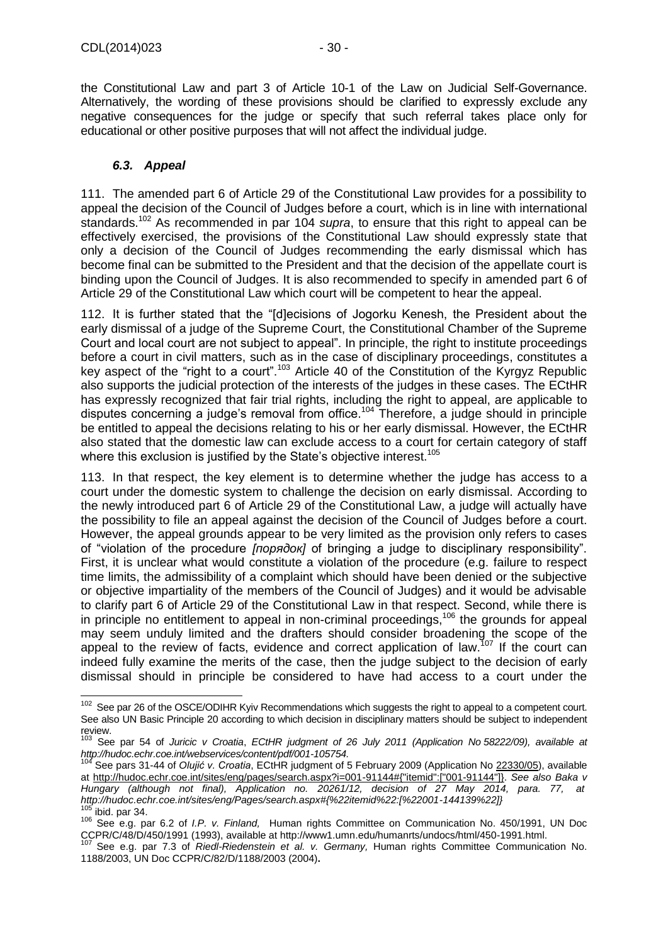-

the Constitutional Law and part 3 of Article 10-1 of the Law on Judicial Self-Governance. Alternatively, the wording of these provisions should be clarified to expressly exclude any negative consequences for the judge or specify that such referral takes place only for educational or other positive purposes that will not affect the individual judge.

#### *6.3. Appeal*

<span id="page-29-0"></span>111. The amended part 6 of Article 29 of the Constitutional Law provides for a possibility to appeal the decision of the Council of Judges before a court, which is in line with international standards.<sup>102</sup> As recommended in par 104 *supra*, to ensure that this right to appeal can be effectively exercised, the provisions of the Constitutional Law should expressly state that only a decision of the Council of Judges recommending the early dismissal which has become final can be submitted to the President and that the decision of the appellate court is binding upon the Council of Judges. It is also recommended to specify in amended part 6 of Article 29 of the Constitutional Law which court will be competent to hear the appeal.

112. It is further stated that the "[d]ecisions of Jogorku Kenesh, the President about the early dismissal of a judge of the Supreme Court, the Constitutional Chamber of the Supreme Court and local court are not subject to appeal". In principle, the right to institute proceedings before a court in civil matters, such as in the case of disciplinary proceedings, constitutes a key aspect of the "right to a court".<sup>103</sup> Article 40 of the Constitution of the Kyrgyz Republic also supports the judicial protection of the interests of the judges in these cases. The ECtHR has expressly recognized that fair trial rights, including the right to appeal, are applicable to disputes concerning a judge's removal from office.<sup>104</sup> Therefore, a judge should in principle be entitled to appeal the decisions relating to his or her early dismissal. However, the ECtHR also stated that the domestic law can exclude access to a court for certain category of staff where this exclusion is justified by the State's objective interest.<sup>105</sup>

113. In that respect, the key element is to determine whether the judge has access to a court under the domestic system to challenge the decision on early dismissal. According to the newly introduced part 6 of Article 29 of the Constitutional Law, a judge will actually have the possibility to file an appeal against the decision of the Council of Judges before a court. However, the appeal grounds appear to be very limited as the provision only refers to cases of "violation of the procedure *[порядок]* of bringing a judge to disciplinary responsibility". First, it is unclear what would constitute a violation of the procedure (e.g. failure to respect time limits, the admissibility of a complaint which should have been denied or the subjective or objective impartiality of the members of the Council of Judges) and it would be advisable to clarify part 6 of Article 29 of the Constitutional Law in that respect. Second, while there is in principle no entitlement to appeal in non-criminal proceedings,<sup>106</sup> the grounds for appeal may seem unduly limited and the drafters should consider broadening the scope of the appeal to the review of facts, evidence and correct application of law.<sup>107</sup> If the court can indeed fully examine the merits of the case, then the judge subject to the decision of early dismissal should in principle be considered to have had access to a court under the

 $102$  See par 26 of the OSCE/ODIHR Kyiv Recommendations which suggests the right to appeal to a competent court. See also UN Basic Principle 20 according to which decision in disciplinary matters should be subject to independent review.

<sup>103</sup> See par 54 of *Juricic v Croatia*, *ECtHR judgment of 26 July 2011 (Application No [58222/09\)](file:///C:/Users/athomas/AppData/Local/Microsoft/Windows/Temporary%20Internet%20Files/athomas/AppData/Local/Microsoft/Windows/Temporary%20Internet%20Files/Content.Outlook/V6D4FPSB/58222/09), available at [http://hudoc.echr.coe.int/webservices/content/pdf/001-105754.](http://hudoc.echr.coe.int/webservices/content/pdf/001-105754)*

<sup>104</sup> See pars 31-44 of *Olujić v. Croatia*, ECtHR judgment of 5 February 2009 (Application No [22330/05\)](http://hudoc.echr.coe.int/sites/eng/Pages/search.aspx#%7B%22appno%22:[%2222330/05%22]%7D), available at [http://hudoc.echr.coe.int/sites/eng/pages/search.aspx?i=001-91144#{"itemid":\["001-91144"\]}.](http://hudoc.echr.coe.int/sites/eng/pages/search.aspx?i=001-91144#{"itemid":["001-91144"]}) *See also Baka v Hungary (although not final), Application no. [20261/12,](http://hudoc.echr.coe.int/sites/eng/Pages/search.aspx#%7B%22appno%22:[%2220261/12%22]%7D) decision of 27 May 2014, para. 77, at [http://hudoc.echr.coe.int/sites/eng/Pages/search.aspx#{%22itemid%22:\[%22001-144139%22\]}](http://hudoc.echr.coe.int/sites/eng/Pages/search.aspx#{%22itemid%22:[%22001-144139%22]})* ibid. par 34.

<sup>106</sup> See e.g. par 6.2 of *I.P. v. Finland,* Human rights Committee on Communication No. 450/1991, UN Doc CCPR/C/48/D/450/1991 (1993), available at http://www1.umn.edu/humanrts/undocs/html/450-1991.html.

<sup>107</sup> See e.g. par 7.3 of *Riedl-Riedenstein et al. v. Germany,* Human rights Committee Communication No. 1188/2003, UN Doc CCPR/C/82/D/1188/2003 (2004)**.**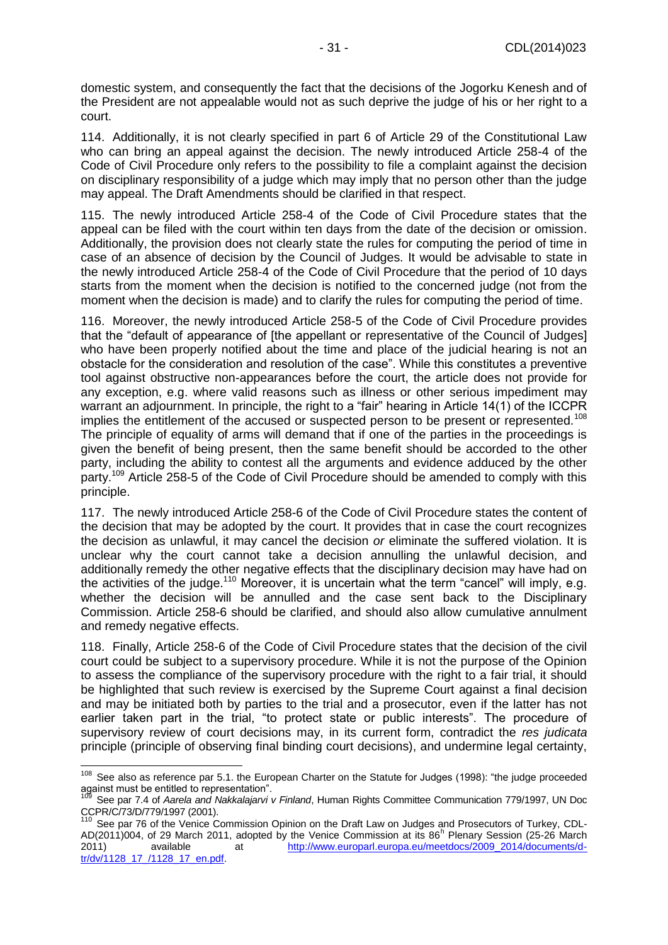domestic system, and consequently the fact that the decisions of the Jogorku Kenesh and of the President are not appealable would not as such deprive the judge of his or her right to a court.

114. Additionally, it is not clearly specified in part 6 of Article 29 of the Constitutional Law who can bring an appeal against the decision. The newly introduced Article 258-4 of the Code of Civil Procedure only refers to the possibility to file a complaint against the decision on disciplinary responsibility of a judge which may imply that no person other than the judge may appeal. The Draft Amendments should be clarified in that respect.

115. The newly introduced Article 258-4 of the Code of Civil Procedure states that the appeal can be filed with the court within ten days from the date of the decision or omission. Additionally, the provision does not clearly state the rules for computing the period of time in case of an absence of decision by the Council of Judges. It would be advisable to state in the newly introduced Article 258-4 of the Code of Civil Procedure that the period of 10 days starts from the moment when the decision is notified to the concerned judge (not from the moment when the decision is made) and to clarify the rules for computing the period of time.

116. Moreover, the newly introduced Article 258-5 of the Code of Civil Procedure provides that the "default of appearance of [the appellant or representative of the Council of Judges] who have been properly notified about the time and place of the judicial hearing is not an obstacle for the consideration and resolution of the case". While this constitutes a preventive tool against obstructive non-appearances before the court, the article does not provide for any exception, e.g. where valid reasons such as illness or other serious impediment may warrant an adjournment. In principle, the right to a "fair" hearing in Article 14(1) of the ICCPR implies the entitlement of the accused or suspected person to be present or represented.<sup>108</sup> The principle of equality of arms will demand that if one of the parties in the proceedings is given the benefit of being present, then the same benefit should be accorded to the other party, including the ability to contest all the arguments and evidence adduced by the other party.<sup>109</sup> Article 258-5 of the Code of Civil Procedure should be amended to comply with this principle.

117. The newly introduced Article 258-6 of the Code of Civil Procedure states the content of the decision that may be adopted by the court. It provides that in case the court recognizes the decision as unlawful, it may cancel the decision *or* eliminate the suffered violation. It is unclear why the court cannot take a decision annulling the unlawful decision, and additionally remedy the other negative effects that the disciplinary decision may have had on the activities of the judge.<sup>110</sup> Moreover, it is uncertain what the term "cancel" will imply, e.g. whether the decision will be annulled and the case sent back to the Disciplinary Commission. Article 258-6 should be clarified, and should also allow cumulative annulment and remedy negative effects.

118. Finally, Article 258-6 of the Code of Civil Procedure states that the decision of the civil court could be subject to a supervisory procedure. While it is not the purpose of the Opinion to assess the compliance of the supervisory procedure with the right to a fair trial, it should be highlighted that such review is exercised by the Supreme Court against a final decision and may be initiated both by parties to the trial and a prosecutor, even if the latter has not earlier taken part in the trial, "to protect state or public interests". The procedure of supervisory review of court decisions may, in its current form, contradict the *res judicata*  principle (principle of observing final binding court decisions), and undermine legal certainty,

-

<sup>&</sup>lt;sup>108</sup> See also as reference par 5.1. the European Charter on the Statute for Judges (1998): "the judge proceeded against must be entitled to representation".

<sup>109</sup> See par 7.4 of *Aarela and Nakkalajarvi v Finland*, Human Rights Committee Communication 779/1997, UN Doc CCPR/C/73/D/779/1997 (2001).

<sup>&</sup>lt;sup>110</sup> See par 76 of the Venice Commission Opinion on the Draft Law on Judges and Prosecutors of Turkey, CDL-AD(2011)004, of 29 March 2011, adopted by the Venice Commission at its 86<sup>h</sup> Plenary Session (25-26 March 2011) available at [http://www.europarl.europa.eu/meetdocs/2009\\_2014/documents/d](http://www.europarl.europa.eu/meetdocs/2009_2014/documents/d-tr/dv/1128_17_/1128_17_en.pdf)[tr/dv/1128\\_17\\_/1128\\_17\\_en.pdf.](http://www.europarl.europa.eu/meetdocs/2009_2014/documents/d-tr/dv/1128_17_/1128_17_en.pdf)